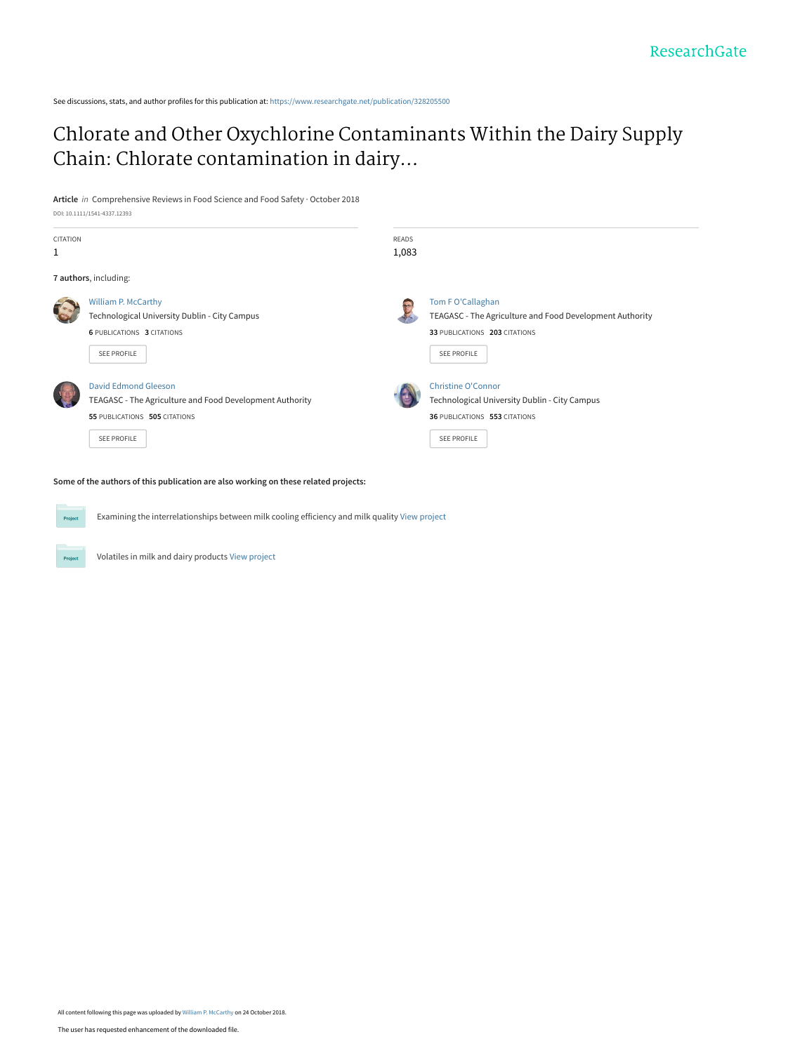See discussions, stats, and author profiles for this publication at: [https://www.researchgate.net/publication/328205500](https://www.researchgate.net/publication/328205500_Chlorate_and_Other_Oxychlorine_Contaminants_Within_the_Dairy_Supply_Chain_Chlorate_contamination_in_dairy?enrichId=rgreq-a029f71693d4b31053b85c2220e305be-XXX&enrichSource=Y292ZXJQYWdlOzMyODIwNTUwMDtBUzo2ODUyMTAxNDQzNDIwMTlAMTU0MDM3ODIzNzMxNg%3D%3D&el=1_x_2&_esc=publicationCoverPdf)

# [Chlorate and Other Oxychlorine Contaminants Within the Dairy Supply](https://www.researchgate.net/publication/328205500_Chlorate_and_Other_Oxychlorine_Contaminants_Within_the_Dairy_Supply_Chain_Chlorate_contamination_in_dairy?enrichId=rgreq-a029f71693d4b31053b85c2220e305be-XXX&enrichSource=Y292ZXJQYWdlOzMyODIwNTUwMDtBUzo2ODUyMTAxNDQzNDIwMTlAMTU0MDM3ODIzNzMxNg%3D%3D&el=1_x_3&_esc=publicationCoverPdf) Chain: Chlorate contamination in dairy…

**Article** in Comprehensive Reviews in Food Science and Food Safety · October 2018 DOI: 10.1111/1541-4337.12393

| <b>CITATION</b> |                                                          | <b>READS</b><br>1,083 |                                                          |
|-----------------|----------------------------------------------------------|-----------------------|----------------------------------------------------------|
|                 | 7 authors, including:                                    |                       |                                                          |
|                 | William P. McCarthy                                      |                       | Tom F O'Callaghan                                        |
|                 | Technological University Dublin - City Campus            |                       | TEAGASC - The Agriculture and Food Development Authority |
|                 | <b>6 PUBLICATIONS 3 CITATIONS</b>                        |                       | 33 PUBLICATIONS 203 CITATIONS                            |
|                 | <b>SEE PROFILE</b>                                       |                       | <b>SEE PROFILE</b>                                       |
|                 | <b>David Edmond Gleeson</b>                              |                       | <b>Christine O'Connor</b>                                |
|                 | TEAGASC - The Agriculture and Food Development Authority |                       | Technological University Dublin - City Campus            |
|                 | 55 PUBLICATIONS 505 CITATIONS                            |                       | 36 PUBLICATIONS 553 CITATIONS                            |
|                 | SEE PROFILE                                              |                       | <b>SEE PROFILE</b>                                       |

Examining the interrelationships between milk cooling efficiency and milk quality [View project](https://www.researchgate.net/project/Examining-the-interrelationships-between-milk-cooling-efficiency-and-milk-quality?enrichId=rgreq-a029f71693d4b31053b85c2220e305be-XXX&enrichSource=Y292ZXJQYWdlOzMyODIwNTUwMDtBUzo2ODUyMTAxNDQzNDIwMTlAMTU0MDM3ODIzNzMxNg%3D%3D&el=1_x_9&_esc=publicationCoverPdf)

Volatiles in milk and dairy products [View project](https://www.researchgate.net/project/Volatiles-in-milk-and-dairy-products?enrichId=rgreq-a029f71693d4b31053b85c2220e305be-XXX&enrichSource=Y292ZXJQYWdlOzMyODIwNTUwMDtBUzo2ODUyMTAxNDQzNDIwMTlAMTU0MDM3ODIzNzMxNg%3D%3D&el=1_x_9&_esc=publicationCoverPdf)

 $P_{\text{ro}}$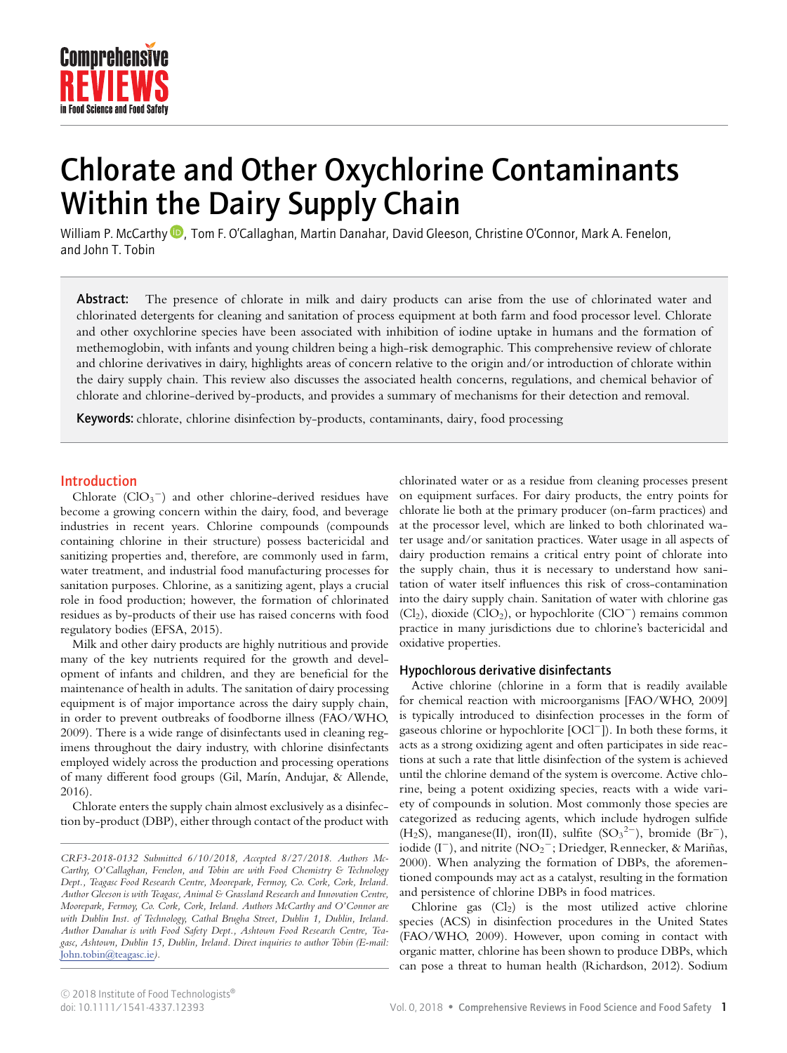

# Chlorate and Other Oxychlorine Contaminants Within the Dairy Supply Chain

William P. McCarthy **D**, Tom F. O'Callaghan, Martin Danahar, David Gleeson, Christine O'Connor, Mark A. Fenelon, and John T. Tobin

Abstract: The presence of chlorate in milk and dairy products can arise from the use of chlorinated water and chlorinated detergents for cleaning and sanitation of process equipment at both farm and food processor level. Chlorate and other oxychlorine species have been associated with inhibition of iodine uptake in humans and the formation of methemoglobin, with infants and young children being a high-risk demographic. This comprehensive review of chlorate and chlorine derivatives in dairy, highlights areas of concern relative to the origin and/or introduction of chlorate within the dairy supply chain. This review also discusses the associated health concerns, regulations, and chemical behavior of chlorate and chlorine-derived by-products, and provides a summary of mechanisms for their detection and removal.

Keywords: chlorate, chlorine disinfection by-products, contaminants, dairy, food processing

#### Introduction

Chlorate  $(CIO_3^-)$  and other chlorine-derived residues have become a growing concern within the dairy, food, and beverage industries in recent years. Chlorine compounds (compounds containing chlorine in their structure) possess bactericidal and sanitizing properties and, therefore, are commonly used in farm, water treatment, and industrial food manufacturing processes for sanitation purposes. Chlorine, as a sanitizing agent, plays a crucial role in food production; however, the formation of chlorinated residues as by-products of their use has raised concerns with food regulatory bodies (EFSA, 2015).

Milk and other dairy products are highly nutritious and provide many of the key nutrients required for the growth and development of infants and children, and they are beneficial for the maintenance of health in adults. The sanitation of dairy processing equipment is of major importance across the dairy supply chain, in order to prevent outbreaks of foodborne illness (FAO/WHO, 2009). There is a wide range of disinfectants used in cleaning regimens throughout the dairy industry, with chlorine disinfectants employed widely across the production and processing operations of many different food groups (Gil, Marín, Andujar, & Allende, 2016).

Chlorate enters the supply chain almost exclusively as a disinfection by-product (DBP), either through contact of the product with

chlorinated water or as a residue from cleaning processes present on equipment surfaces. For dairy products, the entry points for chlorate lie both at the primary producer (on-farm practices) and at the processor level, which are linked to both chlorinated water usage and/or sanitation practices. Water usage in all aspects of dairy production remains a critical entry point of chlorate into the supply chain, thus it is necessary to understand how sanitation of water itself influences this risk of cross-contamination into the dairy supply chain. Sanitation of water with chlorine gas (Cl2), dioxide (ClO2), or hypochlorite (ClO−) remains common practice in many jurisdictions due to chlorine's bactericidal and oxidative properties.

## Hypochlorous derivative disinfectants

Active chlorine (chlorine in a form that is readily available for chemical reaction with microorganisms [FAO/WHO, 2009] is typically introduced to disinfection processes in the form of gaseous chlorine or hypochlorite [OCl−]). In both these forms, it acts as a strong oxidizing agent and often participates in side reactions at such a rate that little disinfection of the system is achieved until the chlorine demand of the system is overcome. Active chlorine, being a potent oxidizing species, reacts with a wide variety of compounds in solution. Most commonly those species are categorized as reducing agents, which include hydrogen sulfide (H<sub>2</sub>S), manganese(II), iron(II), sulfite (SO<sub>3</sub><sup>2-</sup>), bromide (Br<sup>-</sup>), iodide (I<sup>−</sup>), and nitrite ( $NO<sub>2</sub><sup>−</sup>$ ; Driedger, Rennecker, & Mariñas, 2000). When analyzing the formation of DBPs, the aforementioned compounds may act as a catalyst, resulting in the formation and persistence of chlorine DBPs in food matrices.

Chlorine gas  $(Cl<sub>2</sub>)$  is the most utilized active chlorine species (ACS) in disinfection procedures in the United States (FAO/WHO, 2009). However, upon coming in contact with organic matter, chlorine has been shown to produce DBPs, which can pose a threat to human health (Richardson, 2012). Sodium

*CRF3-2018-0132 Submitted 6/10/2018, Accepted 8/27/2018. Authors Mc-Carthy, O'Callaghan, Fenelon, and Tobin are with Food Chemistry & Technology Dept., Teagasc Food Research Centre, Moorepark, Fermoy, Co. Cork, Cork, Ireland. Author Gleeson is with Teagasc, Animal & Grassland Research and Innovation Centre, Moorepark, Fermoy, Co. Cork, Cork, Ireland. Authors McCarthy and O'Connor are with Dublin Inst. of Technology, Cathal Brugha Street, Dublin 1, Dublin, Ireland. Author Danahar is with Food Safety Dept., Ashtown Food Research Centre, Teagasc, Ashtown, Dublin 15, Dublin, Ireland. Direct inquiries to author Tobin (E-mail:* John.tobin@teagasc.ie*).*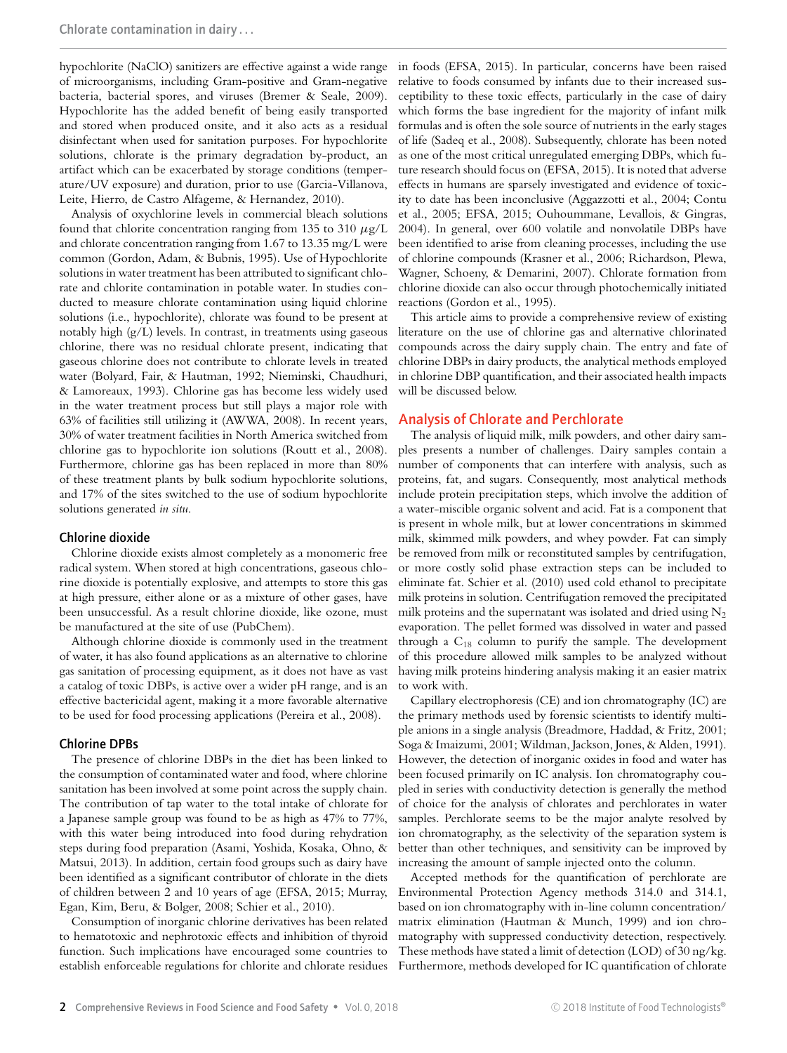hypochlorite (NaClO) sanitizers are effective against a wide range of microorganisms, including Gram-positive and Gram-negative bacteria, bacterial spores, and viruses (Bremer & Seale, 2009). Hypochlorite has the added benefit of being easily transported and stored when produced onsite, and it also acts as a residual disinfectant when used for sanitation purposes. For hypochlorite solutions, chlorate is the primary degradation by-product, an artifact which can be exacerbated by storage conditions (temperature/UV exposure) and duration, prior to use (Garcia-Villanova, Leite, Hierro, de Castro Alfageme, & Hernandez, 2010).

Analysis of oxychlorine levels in commercial bleach solutions found that chlorite concentration ranging from 135 to 310 *µ*g/L and chlorate concentration ranging from 1.67 to 13.35 mg/L were common (Gordon, Adam, & Bubnis, 1995). Use of Hypochlorite solutions in water treatment has been attributed to significant chlorate and chlorite contamination in potable water. In studies conducted to measure chlorate contamination using liquid chlorine solutions (i.e., hypochlorite), chlorate was found to be present at notably high (g/L) levels. In contrast, in treatments using gaseous chlorine, there was no residual chlorate present, indicating that gaseous chlorine does not contribute to chlorate levels in treated water (Bolyard, Fair, & Hautman, 1992; Nieminski, Chaudhuri, & Lamoreaux, 1993). Chlorine gas has become less widely used in the water treatment process but still plays a major role with 63% of facilities still utilizing it (AWWA, 2008). In recent years, 30% of water treatment facilities in North America switched from chlorine gas to hypochlorite ion solutions (Routt et al., 2008). Furthermore, chlorine gas has been replaced in more than 80% of these treatment plants by bulk sodium hypochlorite solutions, and 17% of the sites switched to the use of sodium hypochlorite solutions generated *in situ*.

#### Chlorine dioxide

Chlorine dioxide exists almost completely as a monomeric free radical system. When stored at high concentrations, gaseous chlorine dioxide is potentially explosive, and attempts to store this gas at high pressure, either alone or as a mixture of other gases, have been unsuccessful. As a result chlorine dioxide, like ozone, must be manufactured at the site of use (PubChem).

Although chlorine dioxide is commonly used in the treatment of water, it has also found applications as an alternative to chlorine gas sanitation of processing equipment, as it does not have as vast a catalog of toxic DBPs, is active over a wider pH range, and is an effective bactericidal agent, making it a more favorable alternative to be used for food processing applications (Pereira et al., 2008).

#### Chlorine DPBs

The presence of chlorine DBPs in the diet has been linked to the consumption of contaminated water and food, where chlorine sanitation has been involved at some point across the supply chain. The contribution of tap water to the total intake of chlorate for a Japanese sample group was found to be as high as 47% to 77%, with this water being introduced into food during rehydration steps during food preparation (Asami, Yoshida, Kosaka, Ohno, & Matsui, 2013). In addition, certain food groups such as dairy have been identified as a significant contributor of chlorate in the diets of children between 2 and 10 years of age (EFSA, 2015; Murray, Egan, Kim, Beru, & Bolger, 2008; Schier et al., 2010).

Consumption of inorganic chlorine derivatives has been related to hematotoxic and nephrotoxic effects and inhibition of thyroid function. Such implications have encouraged some countries to establish enforceable regulations for chlorite and chlorate residues

in foods (EFSA, 2015). In particular, concerns have been raised relative to foods consumed by infants due to their increased susceptibility to these toxic effects, particularly in the case of dairy which forms the base ingredient for the majority of infant milk formulas and is often the sole source of nutrients in the early stages of life (Sadeq et al., 2008). Subsequently, chlorate has been noted as one of the most critical unregulated emerging DBPs, which future research should focus on (EFSA, 2015). It is noted that adverse effects in humans are sparsely investigated and evidence of toxicity to date has been inconclusive (Aggazzotti et al., 2004; Contu et al., 2005; EFSA, 2015; Ouhoummane, Levallois, & Gingras, 2004). In general, over 600 volatile and nonvolatile DBPs have been identified to arise from cleaning processes, including the use of chlorine compounds (Krasner et al., 2006; Richardson, Plewa, Wagner, Schoeny, & Demarini, 2007). Chlorate formation from chlorine dioxide can also occur through photochemically initiated reactions (Gordon et al., 1995).

This article aims to provide a comprehensive review of existing literature on the use of chlorine gas and alternative chlorinated compounds across the dairy supply chain. The entry and fate of chlorine DBPs in dairy products, the analytical methods employed in chlorine DBP quantification, and their associated health impacts will be discussed below.

#### Analysis of Chlorate and Perchlorate

The analysis of liquid milk, milk powders, and other dairy samples presents a number of challenges. Dairy samples contain a number of components that can interfere with analysis, such as proteins, fat, and sugars. Consequently, most analytical methods include protein precipitation steps, which involve the addition of a water-miscible organic solvent and acid. Fat is a component that is present in whole milk, but at lower concentrations in skimmed milk, skimmed milk powders, and whey powder. Fat can simply be removed from milk or reconstituted samples by centrifugation, or more costly solid phase extraction steps can be included to eliminate fat. Schier et al. (2010) used cold ethanol to precipitate milk proteins in solution. Centrifugation removed the precipitated milk proteins and the supernatant was isolated and dried using  $N_2$ evaporation. The pellet formed was dissolved in water and passed through a  $C_{18}$  column to purify the sample. The development of this procedure allowed milk samples to be analyzed without having milk proteins hindering analysis making it an easier matrix to work with.

Capillary electrophoresis (CE) and ion chromatography (IC) are the primary methods used by forensic scientists to identify multiple anions in a single analysis (Breadmore, Haddad, & Fritz, 2001; Soga & Imaizumi, 2001; Wildman, Jackson, Jones, & Alden, 1991). However, the detection of inorganic oxides in food and water has been focused primarily on IC analysis. Ion chromatography coupled in series with conductivity detection is generally the method of choice for the analysis of chlorates and perchlorates in water samples. Perchlorate seems to be the major analyte resolved by ion chromatography, as the selectivity of the separation system is better than other techniques, and sensitivity can be improved by increasing the amount of sample injected onto the column.

Accepted methods for the quantification of perchlorate are Environmental Protection Agency methods 314.0 and 314.1, based on ion chromatography with in-line column concentration/ matrix elimination (Hautman & Munch, 1999) and ion chromatography with suppressed conductivity detection, respectively. These methods have stated a limit of detection (LOD) of 30 ng/kg. Furthermore, methods developed for IC quantification of chlorate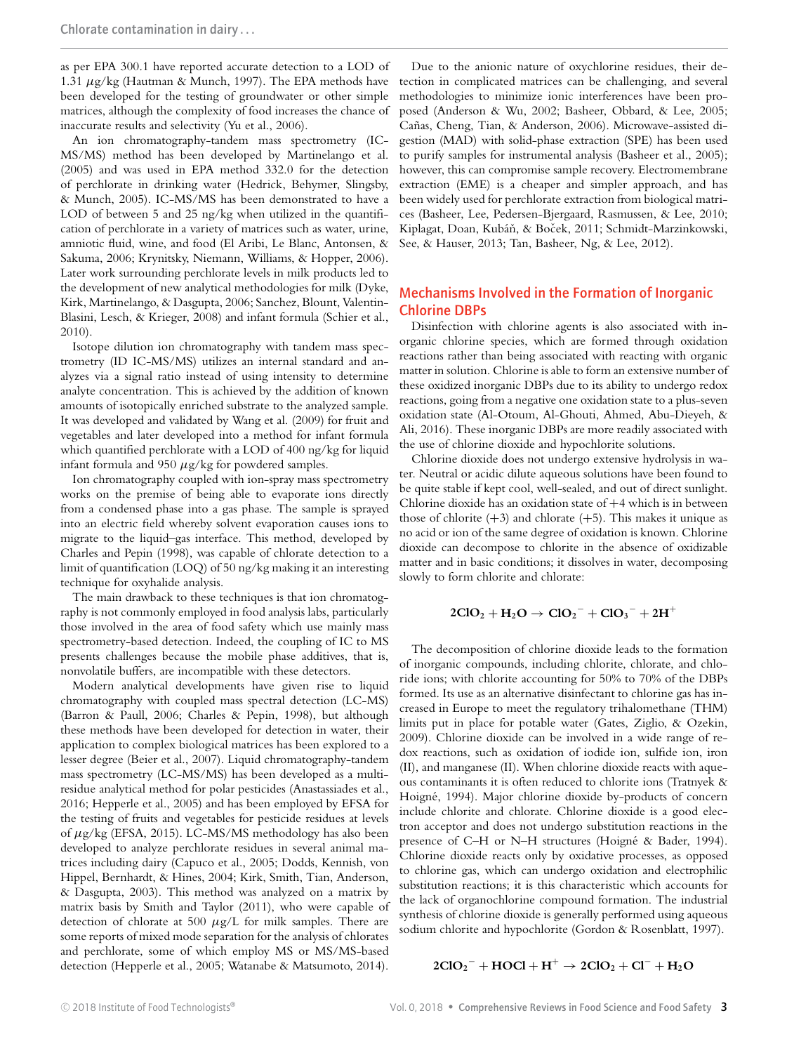as per EPA 300.1 have reported accurate detection to a LOD of 1.31 *µ*g/kg (Hautman & Munch, 1997). The EPA methods have been developed for the testing of groundwater or other simple matrices, although the complexity of food increases the chance of inaccurate results and selectivity (Yu et al., 2006).

An ion chromatography-tandem mass spectrometry (IC-MS/MS) method has been developed by Martinelango et al. (2005) and was used in EPA method 332.0 for the detection of perchlorate in drinking water (Hedrick, Behymer, Slingsby, & Munch, 2005). IC-MS/MS has been demonstrated to have a LOD of between 5 and 25 ng/kg when utilized in the quantification of perchlorate in a variety of matrices such as water, urine, amniotic fluid, wine, and food (El Aribi, Le Blanc, Antonsen, & Sakuma, 2006; Krynitsky, Niemann, Williams, & Hopper, 2006). Later work surrounding perchlorate levels in milk products led to the development of new analytical methodologies for milk (Dyke, Kirk, Martinelango, & Dasgupta, 2006; Sanchez, Blount, Valentin-Blasini, Lesch, & Krieger, 2008) and infant formula (Schier et al., 2010).

Isotope dilution ion chromatography with tandem mass spectrometry (ID IC-MS/MS) utilizes an internal standard and analyzes via a signal ratio instead of using intensity to determine analyte concentration. This is achieved by the addition of known amounts of isotopically enriched substrate to the analyzed sample. It was developed and validated by Wang et al. (2009) for fruit and vegetables and later developed into a method for infant formula which quantified perchlorate with a LOD of 400 ng/kg for liquid infant formula and 950 *µ*g/kg for powdered samples.

Ion chromatography coupled with ion-spray mass spectrometry works on the premise of being able to evaporate ions directly from a condensed phase into a gas phase. The sample is sprayed into an electric field whereby solvent evaporation causes ions to migrate to the liquid–gas interface. This method, developed by Charles and Pepin (1998), was capable of chlorate detection to a limit of quantification (LOQ) of 50 ng/kg making it an interesting technique for oxyhalide analysis.

The main drawback to these techniques is that ion chromatography is not commonly employed in food analysis labs, particularly those involved in the area of food safety which use mainly mass spectrometry-based detection. Indeed, the coupling of IC to MS presents challenges because the mobile phase additives, that is, nonvolatile buffers, are incompatible with these detectors.

Modern analytical developments have given rise to liquid chromatography with coupled mass spectral detection (LC-MS) (Barron & Paull, 2006; Charles & Pepin, 1998), but although these methods have been developed for detection in water, their application to complex biological matrices has been explored to a lesser degree (Beier et al., 2007). Liquid chromatography-tandem mass spectrometry (LC-MS/MS) has been developed as a multiresidue analytical method for polar pesticides (Anastassiades et al., 2016; Hepperle et al., 2005) and has been employed by EFSA for the testing of fruits and vegetables for pesticide residues at levels of *µ*g/kg (EFSA, 2015). LC-MS/MS methodology has also been developed to analyze perchlorate residues in several animal matrices including dairy (Capuco et al., 2005; Dodds, Kennish, von Hippel, Bernhardt, & Hines, 2004; Kirk, Smith, Tian, Anderson, & Dasgupta, 2003). This method was analyzed on a matrix by matrix basis by Smith and Taylor (2011), who were capable of detection of chlorate at 500  $\mu$ g/L for milk samples. There are some reports of mixed mode separation for the analysis of chlorates and perchlorate, some of which employ MS or MS/MS-based detection (Hepperle et al., 2005; Watanabe & Matsumoto, 2014).

Due to the anionic nature of oxychlorine residues, their detection in complicated matrices can be challenging, and several methodologies to minimize ionic interferences have been proposed (Anderson & Wu, 2002; Basheer, Obbard, & Lee, 2005; Cañas, Cheng, Tian, & Anderson, 2006). Microwave-assisted digestion (MAD) with solid-phase extraction (SPE) has been used to purify samples for instrumental analysis (Basheer et al., 2005); however, this can compromise sample recovery. Electromembrane extraction (EME) is a cheaper and simpler approach, and has been widely used for perchlorate extraction from biological matrices (Basheer, Lee, Pedersen-Bjergaard, Rasmussen, & Lee, 2010; Kiplagat, Doan, Kubáň, & Boček, 2011; Schmidt-Marzinkowski, See, & Hauser, 2013; Tan, Basheer, Ng, & Lee, 2012).

# Mechanisms Involved in the Formation of Inorganic Chlorine DBPs

Disinfection with chlorine agents is also associated with inorganic chlorine species, which are formed through oxidation reactions rather than being associated with reacting with organic matter in solution. Chlorine is able to form an extensive number of these oxidized inorganic DBPs due to its ability to undergo redox reactions, going from a negative one oxidation state to a plus-seven oxidation state (Al-Otoum, Al-Ghouti, Ahmed, Abu-Dieyeh, & Ali, 2016). These inorganic DBPs are more readily associated with the use of chlorine dioxide and hypochlorite solutions.

Chlorine dioxide does not undergo extensive hydrolysis in water. Neutral or acidic dilute aqueous solutions have been found to be quite stable if kept cool, well-sealed, and out of direct sunlight. Chlorine dioxide has an oxidation state of  $+4$  which is in between those of chlorite  $(+3)$  and chlorate  $(+5)$ . This makes it unique as no acid or ion of the same degree of oxidation is known. Chlorine dioxide can decompose to chlorite in the absence of oxidizable matter and in basic conditions; it dissolves in water, decomposing slowly to form chlorite and chlorate:

$$
2\text{ClO}_2 + \text{H}_2\text{O} \rightarrow \text{ClO}_2^- + \text{ClO}_3^- + 2\text{H}^+
$$

The decomposition of chlorine dioxide leads to the formation of inorganic compounds, including chlorite, chlorate, and chloride ions; with chlorite accounting for 50% to 70% of the DBPs formed. Its use as an alternative disinfectant to chlorine gas has increased in Europe to meet the regulatory trihalomethane (THM) limits put in place for potable water (Gates, Ziglio, & Ozekin, 2009). Chlorine dioxide can be involved in a wide range of redox reactions, such as oxidation of iodide ion, sulfide ion, iron (II), and manganese (II). When chlorine dioxide reacts with aqueous contaminants it is often reduced to chlorite ions (Tratnyek & Hoigné, 1994). Major chlorine dioxide by-products of concern include chlorite and chlorate. Chlorine dioxide is a good electron acceptor and does not undergo substitution reactions in the presence of C–H or N–H structures (Hoigné & Bader, 1994). Chlorine dioxide reacts only by oxidative processes, as opposed to chlorine gas, which can undergo oxidation and electrophilic substitution reactions; it is this characteristic which accounts for the lack of organochlorine compound formation. The industrial synthesis of chlorine dioxide is generally performed using aqueous sodium chlorite and hypochlorite (Gordon & Rosenblatt, 1997).

# $2ClO_2^- + HOCl + H^+ \rightarrow 2ClO_2 + Cl^- + H_2O$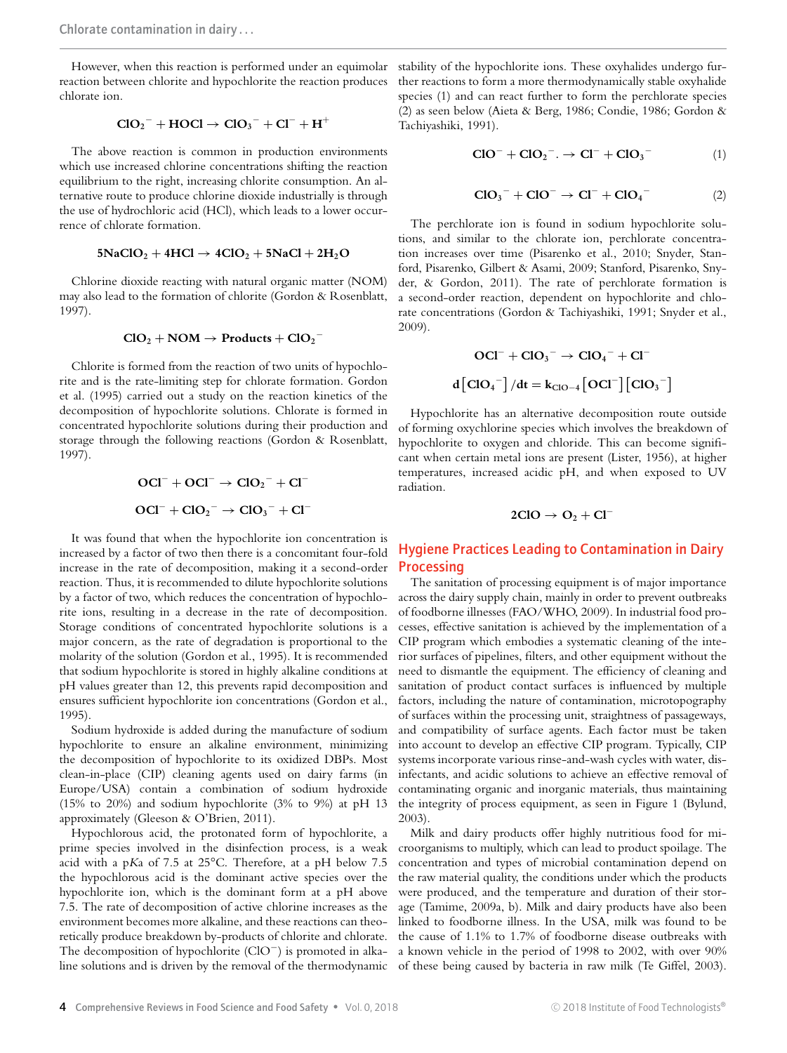However, when this reaction is performed under an equimolar reaction between chlorite and hypochlorite the reaction produces chlorate ion.

$$
ClO_2^- + HOCl \rightarrow ClO_3^- + Cl^- + H^+
$$

The above reaction is common in production environments which use increased chlorine concentrations shifting the reaction equilibrium to the right, increasing chlorite consumption. An alternative route to produce chlorine dioxide industrially is through the use of hydrochloric acid (HCl), which leads to a lower occurrence of chlorate formation.

$$
5NaClO_2 + 4HCl \rightarrow 4ClO_2 + 5NaCl + 2H_2O
$$

Chlorine dioxide reacting with natural organic matter (NOM) may also lead to the formation of chlorite (Gordon & Rosenblatt, 1997).

$$
ClO_2 + NOM \rightarrow Products + ClO_2^-
$$

Chlorite is formed from the reaction of two units of hypochlorite and is the rate-limiting step for chlorate formation. Gordon et al. (1995) carried out a study on the reaction kinetics of the decomposition of hypochlorite solutions. Chlorate is formed in concentrated hypochlorite solutions during their production and storage through the following reactions (Gordon & Rosenblatt, 1997).

$$
OCI^{-} + OCI^{-} \rightarrow ClO_2^{-} + Cl^{-}
$$

$$
OCI^{-} + ClO_2^{-} \rightarrow ClO_3^{-} + Cl^{-}
$$

It was found that when the hypochlorite ion concentration is increased by a factor of two then there is a concomitant four-fold increase in the rate of decomposition, making it a second-order reaction. Thus, it is recommended to dilute hypochlorite solutions by a factor of two, which reduces the concentration of hypochlorite ions, resulting in a decrease in the rate of decomposition. Storage conditions of concentrated hypochlorite solutions is a major concern, as the rate of degradation is proportional to the molarity of the solution (Gordon et al., 1995). It is recommended that sodium hypochlorite is stored in highly alkaline conditions at pH values greater than 12, this prevents rapid decomposition and ensures sufficient hypochlorite ion concentrations (Gordon et al., 1995).

Sodium hydroxide is added during the manufacture of sodium hypochlorite to ensure an alkaline environment, minimizing the decomposition of hypochlorite to its oxidized DBPs. Most clean-in-place (CIP) cleaning agents used on dairy farms (in Europe/USA) contain a combination of sodium hydroxide (15% to 20%) and sodium hypochlorite (3% to 9%) at pH 13 approximately (Gleeson & O'Brien, 2011).

Hypochlorous acid, the protonated form of hypochlorite, a prime species involved in the disinfection process, is a weak acid with a p*K*a of 7.5 at 25°C. Therefore, at a pH below 7.5 the hypochlorous acid is the dominant active species over the hypochlorite ion, which is the dominant form at a pH above 7.5. The rate of decomposition of active chlorine increases as the environment becomes more alkaline, and these reactions can theoretically produce breakdown by-products of chlorite and chlorate. The decomposition of hypochlorite (ClO−) is promoted in alkaline solutions and is driven by the removal of the thermodynamic

stability of the hypochlorite ions. These oxyhalides undergo further reactions to form a more thermodynamically stable oxyhalide species (1) and can react further to form the perchlorate species (2) as seen below (Aieta & Berg, 1986; Condie, 1986; Gordon & Tachiyashiki, 1991).

$$
ClO^{-} + ClO_{2}^{-} \rightarrow Cl^{-} + ClO_{3}^{-} \tag{1}
$$

$$
ClO_3^- + ClO^- \rightarrow Cl^- + ClO_4^-
$$
 (2)

The perchlorate ion is found in sodium hypochlorite solutions, and similar to the chlorate ion, perchlorate concentration increases over time (Pisarenko et al., 2010; Snyder, Stanford, Pisarenko, Gilbert & Asami, 2009; Stanford, Pisarenko, Snyder, & Gordon, 2011). The rate of perchlorate formation is a second-order reaction, dependent on hypochlorite and chlorate concentrations (Gordon & Tachiyashiki, 1991; Snyder et al., 2009).

$$
OCl^{-} + ClO_{3}^{-} \rightarrow ClO_{4}^{-} + Cl^{-}
$$

$$
d [ClO_{4}^{-}] / dt = k_{ClO-4} [OCl^{-}] [ClO_{3}^{-}]
$$

Hypochlorite has an alternative decomposition route outside of forming oxychlorine species which involves the breakdown of hypochlorite to oxygen and chloride. This can become significant when certain metal ions are present (Lister, 1956), at higher temperatures, increased acidic pH, and when exposed to UV radiation.

$$
2ClO \rightarrow O_2 + Cl^-
$$

## Hygiene Practices Leading to Contamination in Dairy **Processing**

The sanitation of processing equipment is of major importance across the dairy supply chain, mainly in order to prevent outbreaks of foodborne illnesses (FAO/WHO, 2009). In industrial food processes, effective sanitation is achieved by the implementation of a CIP program which embodies a systematic cleaning of the interior surfaces of pipelines, filters, and other equipment without the need to dismantle the equipment. The efficiency of cleaning and sanitation of product contact surfaces is influenced by multiple factors, including the nature of contamination, microtopography of surfaces within the processing unit, straightness of passageways, and compatibility of surface agents. Each factor must be taken into account to develop an effective CIP program. Typically, CIP systems incorporate various rinse-and-wash cycles with water, disinfectants, and acidic solutions to achieve an effective removal of contaminating organic and inorganic materials, thus maintaining the integrity of process equipment, as seen in Figure 1 (Bylund, 2003).

Milk and dairy products offer highly nutritious food for microorganisms to multiply, which can lead to product spoilage. The concentration and types of microbial contamination depend on the raw material quality, the conditions under which the products were produced, and the temperature and duration of their storage (Tamime, 2009a, b). Milk and dairy products have also been linked to foodborne illness. In the USA, milk was found to be the cause of 1.1% to 1.7% of foodborne disease outbreaks with a known vehicle in the period of 1998 to 2002, with over 90% of these being caused by bacteria in raw milk (Te Giffel, 2003).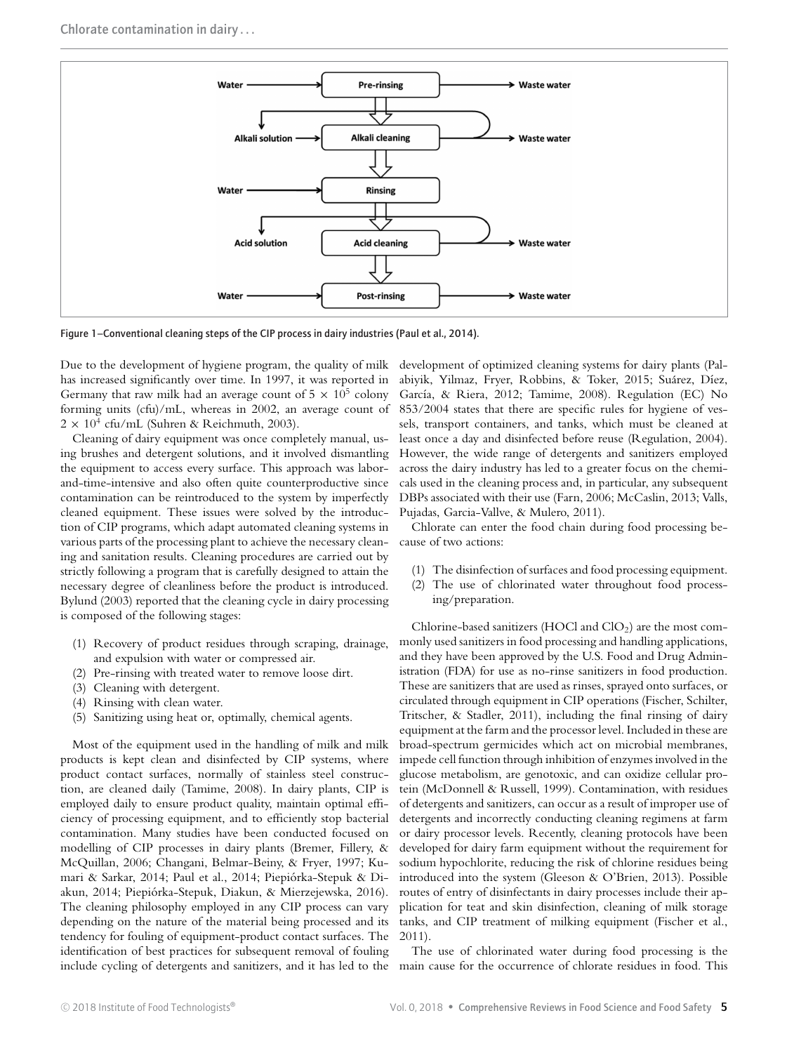Chlorate contamination in dairy . . .



Figure 1–Conventional cleaning steps of the CIP process in dairy industries (Paul et al., 2014).

Due to the development of hygiene program, the quality of milk has increased significantly over time. In 1997, it was reported in Germany that raw milk had an average count of  $5 \times 10^5$  colony forming units (cfu)/mL, whereas in 2002, an average count of  $2 \times 10^4$  cfu/mL (Suhren & Reichmuth, 2003).

Cleaning of dairy equipment was once completely manual, using brushes and detergent solutions, and it involved dismantling the equipment to access every surface. This approach was laborand-time-intensive and also often quite counterproductive since contamination can be reintroduced to the system by imperfectly cleaned equipment. These issues were solved by the introduction of CIP programs, which adapt automated cleaning systems in various parts of the processing plant to achieve the necessary cleaning and sanitation results. Cleaning procedures are carried out by strictly following a program that is carefully designed to attain the necessary degree of cleanliness before the product is introduced. Bylund (2003) reported that the cleaning cycle in dairy processing is composed of the following stages:

- (1) Recovery of product residues through scraping, drainage, and expulsion with water or compressed air.
- (2) Pre-rinsing with treated water to remove loose dirt.
- (3) Cleaning with detergent.
- (4) Rinsing with clean water.
- (5) Sanitizing using heat or, optimally, chemical agents.

Most of the equipment used in the handling of milk and milk products is kept clean and disinfected by CIP systems, where product contact surfaces, normally of stainless steel construction, are cleaned daily (Tamime, 2008). In dairy plants, CIP is employed daily to ensure product quality, maintain optimal efficiency of processing equipment, and to efficiently stop bacterial contamination. Many studies have been conducted focused on modelling of CIP processes in dairy plants (Bremer, Fillery, & McQuillan, 2006; Changani, Belmar-Beiny, & Fryer, 1997; Kumari & Sarkar, 2014; Paul et al., 2014; Piepiorka-Stepuk & Di- ´ akun, 2014; Piepiorka-Stepuk, Diakun, & Mierzejewska, 2016). ´ The cleaning philosophy employed in any CIP process can vary depending on the nature of the material being processed and its tendency for fouling of equipment-product contact surfaces. The identification of best practices for subsequent removal of fouling include cycling of detergents and sanitizers, and it has led to the

development of optimized cleaning systems for dairy plants (Palabiyik, Yilmaz, Fryer, Robbins, & Toker, 2015; Suárez, Díez, García, & Riera, 2012; Tamime, 2008). Regulation (EC) No 853/2004 states that there are specific rules for hygiene of vessels, transport containers, and tanks, which must be cleaned at least once a day and disinfected before reuse (Regulation, 2004). However, the wide range of detergents and sanitizers employed across the dairy industry has led to a greater focus on the chemicals used in the cleaning process and, in particular, any subsequent DBPs associated with their use (Farn, 2006; McCaslin, 2013; Valls, Pujadas, Garcia-Vallve, & Mulero, 2011).

Chlorate can enter the food chain during food processing because of two actions:

- (1) The disinfection of surfaces and food processing equipment.
- (2) The use of chlorinated water throughout food processing/preparation.

Chlorine-based sanitizers (HOCl and  $ClO<sub>2</sub>$ ) are the most commonly used sanitizers in food processing and handling applications, and they have been approved by the U.S. Food and Drug Administration (FDA) for use as no-rinse sanitizers in food production. These are sanitizers that are used as rinses, sprayed onto surfaces, or circulated through equipment in CIP operations (Fischer, Schilter, Tritscher, & Stadler, 2011), including the final rinsing of dairy equipment at the farm and the processor level. Included in these are broad-spectrum germicides which act on microbial membranes, impede cell function through inhibition of enzymes involved in the glucose metabolism, are genotoxic, and can oxidize cellular protein (McDonnell & Russell, 1999). Contamination, with residues of detergents and sanitizers, can occur as a result of improper use of detergents and incorrectly conducting cleaning regimens at farm or dairy processor levels. Recently, cleaning protocols have been developed for dairy farm equipment without the requirement for sodium hypochlorite, reducing the risk of chlorine residues being introduced into the system (Gleeson & O'Brien, 2013). Possible routes of entry of disinfectants in dairy processes include their application for teat and skin disinfection, cleaning of milk storage tanks, and CIP treatment of milking equipment (Fischer et al., 2011).

The use of chlorinated water during food processing is the main cause for the occurrence of chlorate residues in food. This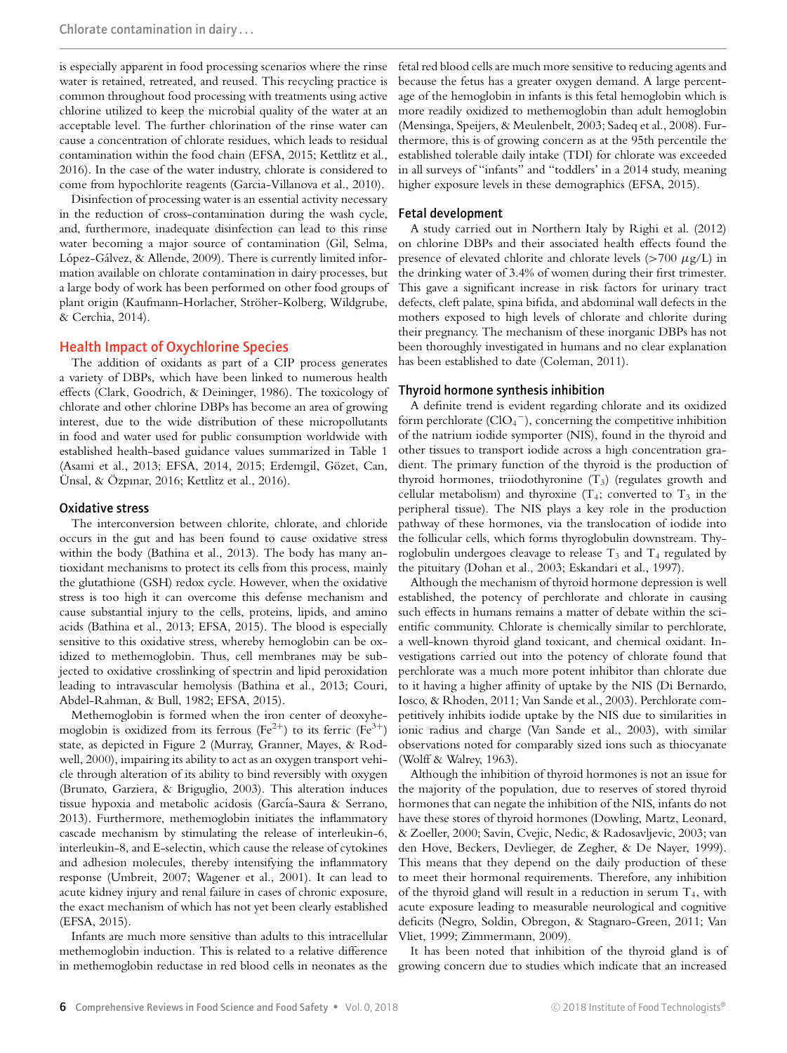is especially apparent in food processing scenarios where the rinse water is retained, retreated, and reused. This recycling practice is common throughout food processing with treatments using active chlorine utilized to keep the microbial quality of the water at an acceptable level. The further chlorination of the rinse water can cause a concentration of chlorate residues, which leads to residual contamination within the food chain (EFSA, 2015; Kettlitz et al., 2016). In the case of the water industry, chlorate is considered to come from hypochlorite reagents (Garcia-Villanova et al., 2010).

Disinfection of processing water is an essential activity necessary in the reduction of cross-contamination during the wash cycle, and, furthermore, inadequate disinfection can lead to this rinse water becoming a major source of contamination (Gil, Selma, López-Gálvez, & Allende, 2009). There is currently limited information available on chlorate contamination in dairy processes, but a large body of work has been performed on other food groups of plant origin (Kaufmann-Horlacher, Ströher-Kolberg, Wildgrube, & Cerchia, 2014).

#### Health Impact of Oxychlorine Species

The addition of oxidants as part of a CIP process generates a variety of DBPs, which have been linked to numerous health effects (Clark, Goodrich, & Deininger, 1986). The toxicology of chlorate and other chlorine DBPs has become an area of growing interest, due to the wide distribution of these micropollutants in food and water used for public consumption worldwide with established health-based guidance values summarized in Table 1 (Asami et al., 2013; EFSA, 2014, 2015; Erdemgil, Gözet, Can, Ünsal,  $\&$  Özpınar, 2016; Kettlitz et al., 2016).

#### Oxidative stress

The interconversion between chlorite, chlorate, and chloride occurs in the gut and has been found to cause oxidative stress within the body (Bathina et al., 2013). The body has many antioxidant mechanisms to protect its cells from this process, mainly the glutathione (GSH) redox cycle. However, when the oxidative stress is too high it can overcome this defense mechanism and cause substantial injury to the cells, proteins, lipids, and amino acids (Bathina et al., 2013; EFSA, 2015). The blood is especially sensitive to this oxidative stress, whereby hemoglobin can be oxidized to methemoglobin. Thus, cell membranes may be subjected to oxidative crosslinking of spectrin and lipid peroxidation leading to intravascular hemolysis (Bathina et al., 2013; Couri, Abdel-Rahman, & Bull, 1982; EFSA, 2015).

Methemoglobin is formed when the iron center of deoxyhemoglobin is oxidized from its ferrous (Fe<sup>2+</sup>) to its ferric (Fe<sup>3+</sup>) state, as depicted in Figure 2 (Murray, Granner, Mayes, & Rodwell, 2000), impairing its ability to act as an oxygen transport vehicle through alteration of its ability to bind reversibly with oxygen (Brunato, Garziera, & Briguglio, 2003). This alteration induces tissue hypoxia and metabolic acidosis (García-Saura & Serrano, 2013). Furthermore, methemoglobin initiates the inflammatory cascade mechanism by stimulating the release of interleukin-6, interleukin-8, and E-selectin, which cause the release of cytokines and adhesion molecules, thereby intensifying the inflammatory response (Umbreit, 2007; Wagener et al., 2001). It can lead to acute kidney injury and renal failure in cases of chronic exposure, the exact mechanism of which has not yet been clearly established (EFSA, 2015).

Infants are much more sensitive than adults to this intracellular methemoglobin induction. This is related to a relative difference in methemoglobin reductase in red blood cells in neonates as the

fetal red blood cells are much more sensitive to reducing agents and because the fetus has a greater oxygen demand. A large percentage of the hemoglobin in infants is this fetal hemoglobin which is more readily oxidized to methemoglobin than adult hemoglobin (Mensinga, Speijers, & Meulenbelt, 2003; Sadeq et al., 2008). Furthermore, this is of growing concern as at the 95th percentile the established tolerable daily intake (TDI) for chlorate was exceeded in all surveys of "infants" and "toddlers' in a 2014 study, meaning higher exposure levels in these demographics (EFSA, 2015).

#### Fetal development

A study carried out in Northern Italy by Righi et al. (2012) on chlorine DBPs and their associated health effects found the presence of elevated chlorite and chlorate levels ( $>700 \mu g/L$ ) in the drinking water of 3.4% of women during their first trimester. This gave a significant increase in risk factors for urinary tract defects, cleft palate, spina bifida, and abdominal wall defects in the mothers exposed to high levels of chlorate and chlorite during their pregnancy. The mechanism of these inorganic DBPs has not been thoroughly investigated in humans and no clear explanation has been established to date (Coleman, 2011).

#### Thyroid hormone synthesis inhibition

A definite trend is evident regarding chlorate and its oxidized form perchlorate  $(CIO_4^-)$ , concerning the competitive inhibition of the natrium iodide symporter (NIS), found in the thyroid and other tissues to transport iodide across a high concentration gradient. The primary function of the thyroid is the production of thyroid hormones, triiodothyronine  $(T_3)$  (regulates growth and cellular metabolism) and thyroxine  $(T_4;$  converted to  $T_3$  in the peripheral tissue). The NIS plays a key role in the production pathway of these hormones, via the translocation of iodide into the follicular cells, which forms thyroglobulin downstream. Thyroglobulin undergoes cleavage to release  $T_3$  and  $T_4$  regulated by the pituitary (Dohan et al., 2003; Eskandari et al., 1997).

Although the mechanism of thyroid hormone depression is well established, the potency of perchlorate and chlorate in causing such effects in humans remains a matter of debate within the scientific community. Chlorate is chemically similar to perchlorate, a well-known thyroid gland toxicant, and chemical oxidant. Investigations carried out into the potency of chlorate found that perchlorate was a much more potent inhibitor than chlorate due to it having a higher affinity of uptake by the NIS (Di Bernardo, Iosco, & Rhoden, 2011; Van Sande et al., 2003). Perchlorate competitively inhibits iodide uptake by the NIS due to similarities in ionic radius and charge (Van Sande et al., 2003), with similar observations noted for comparably sized ions such as thiocyanate (Wolff & Walrey, 1963).

Although the inhibition of thyroid hormones is not an issue for the majority of the population, due to reserves of stored thyroid hormones that can negate the inhibition of the NIS, infants do not have these stores of thyroid hormones (Dowling, Martz, Leonard, & Zoeller, 2000; Savin, Cvejic, Nedic, & Radosavljevic, 2003; van den Hove, Beckers, Devlieger, de Zegher, & De Nayer, 1999). This means that they depend on the daily production of these to meet their hormonal requirements. Therefore, any inhibition of the thyroid gland will result in a reduction in serum  $T_4$ , with acute exposure leading to measurable neurological and cognitive deficits (Negro, Soldin, Obregon, & Stagnaro-Green, 2011; Van Vliet, 1999; Zimmermann, 2009).

It has been noted that inhibition of the thyroid gland is of growing concern due to studies which indicate that an increased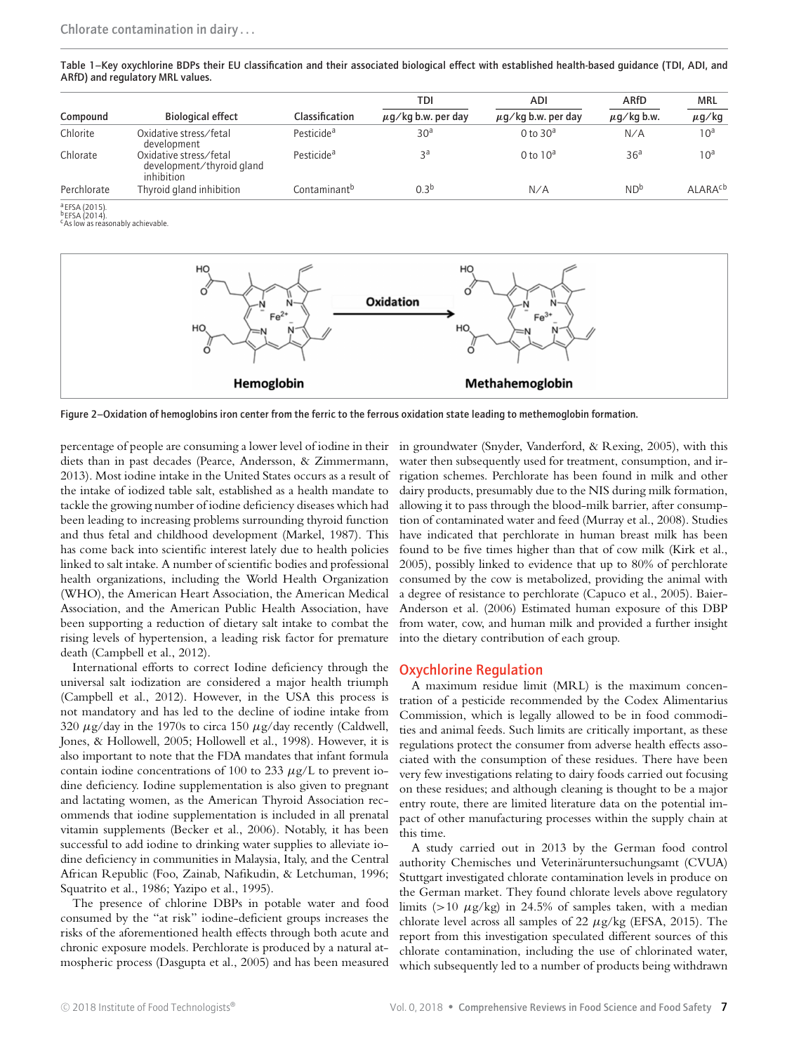Table 1–Key oxychlorine BDPs their EU classification and their associated biological effect with established health-based guidance (TDI, ADI, and ARfD) and regulatory MRL values.

|             |                                                                   |                          | TDI                     | ADI                     | ARfD            | <b>MRL</b>                |
|-------------|-------------------------------------------------------------------|--------------------------|-------------------------|-------------------------|-----------------|---------------------------|
| Compound    | <b>Biological effect</b>                                          | Classification           | $\mu$ q/kg b.w. per day | $\mu$ q/kg b.w. per day | $\mu$ g/kg b.w. | $\mu$ g/kg                |
| Chlorite    | Oxidative stress/fetal<br>development                             | Pesticide <sup>a</sup>   | 30 <sup>a</sup>         | 0 to $30a$              | N/A             | 10 <sup>a</sup>           |
| Chlorate    | Oxidative stress/fetal<br>development/thyroid gland<br>inhibition | Pesticide <sup>a</sup>   | эa                      | $0$ to $10a$            | 36 <sup>a</sup> | 10 <sup>a</sup>           |
| Perchlorate | Thyroid gland inhibition                                          | Contaminant <sup>b</sup> | 0.3 <sup>b</sup>        | N/A                     | ND <sup>b</sup> | <b>ALARA<sup>cb</sup></b> |

<sup>a</sup> EFSA (2015).<br><sup>b</sup> EFSA (2014).

<sup>c</sup>As low as reasonably achievable.



Figure 2–Oxidation of hemoglobins iron center from the ferric to the ferrous oxidation state leading to methemoglobin formation.

percentage of people are consuming a lower level of iodine in their diets than in past decades (Pearce, Andersson, & Zimmermann, 2013). Most iodine intake in the United States occurs as a result of the intake of iodized table salt, established as a health mandate to tackle the growing number of iodine deficiency diseases which had been leading to increasing problems surrounding thyroid function and thus fetal and childhood development (Markel, 1987). This has come back into scientific interest lately due to health policies linked to salt intake. A number of scientific bodies and professional health organizations, including the World Health Organization (WHO), the American Heart Association, the American Medical Association, and the American Public Health Association, have been supporting a reduction of dietary salt intake to combat the rising levels of hypertension, a leading risk factor for premature death (Campbell et al., 2012).

International efforts to correct Iodine deficiency through the universal salt iodization are considered a major health triumph (Campbell et al., 2012). However, in the USA this process is not mandatory and has led to the decline of iodine intake from 320 *µ*g/day in the 1970s to circa 150 *µ*g/day recently (Caldwell, Jones, & Hollowell, 2005; Hollowell et al., 1998). However, it is also important to note that the FDA mandates that infant formula contain iodine concentrations of 100 to 233  $\mu$ g/L to prevent iodine deficiency. Iodine supplementation is also given to pregnant and lactating women, as the American Thyroid Association recommends that iodine supplementation is included in all prenatal vitamin supplements (Becker et al., 2006). Notably, it has been successful to add iodine to drinking water supplies to alleviate iodine deficiency in communities in Malaysia, Italy, and the Central African Republic (Foo, Zainab, Nafikudin, & Letchuman, 1996; Squatrito et al., 1986; Yazipo et al., 1995).

The presence of chlorine DBPs in potable water and food consumed by the "at risk" iodine-deficient groups increases the risks of the aforementioned health effects through both acute and chronic exposure models. Perchlorate is produced by a natural atmospheric process (Dasgupta et al., 2005) and has been measured

in groundwater (Snyder, Vanderford, & Rexing, 2005), with this water then subsequently used for treatment, consumption, and irrigation schemes. Perchlorate has been found in milk and other dairy products, presumably due to the NIS during milk formation, allowing it to pass through the blood-milk barrier, after consumption of contaminated water and feed (Murray et al., 2008). Studies have indicated that perchlorate in human breast milk has been found to be five times higher than that of cow milk (Kirk et al., 2005), possibly linked to evidence that up to 80% of perchlorate consumed by the cow is metabolized, providing the animal with a degree of resistance to perchlorate (Capuco et al., 2005). Baier-Anderson et al. (2006) Estimated human exposure of this DBP from water, cow, and human milk and provided a further insight into the dietary contribution of each group.

#### Oxychlorine Regulation

A maximum residue limit (MRL) is the maximum concentration of a pesticide recommended by the Codex Alimentarius Commission, which is legally allowed to be in food commodities and animal feeds. Such limits are critically important, as these regulations protect the consumer from adverse health effects associated with the consumption of these residues. There have been very few investigations relating to dairy foods carried out focusing on these residues; and although cleaning is thought to be a major entry route, there are limited literature data on the potential impact of other manufacturing processes within the supply chain at this time.

A study carried out in 2013 by the German food control authority Chemisches und Veterinäruntersuchungsamt (CVUA) Stuttgart investigated chlorate contamination levels in produce on the German market. They found chlorate levels above regulatory limits (*>*10 *µ*g/kg) in 24.5% of samples taken, with a median chlorate level across all samples of 22 *µ*g/kg (EFSA, 2015). The report from this investigation speculated different sources of this chlorate contamination, including the use of chlorinated water, which subsequently led to a number of products being withdrawn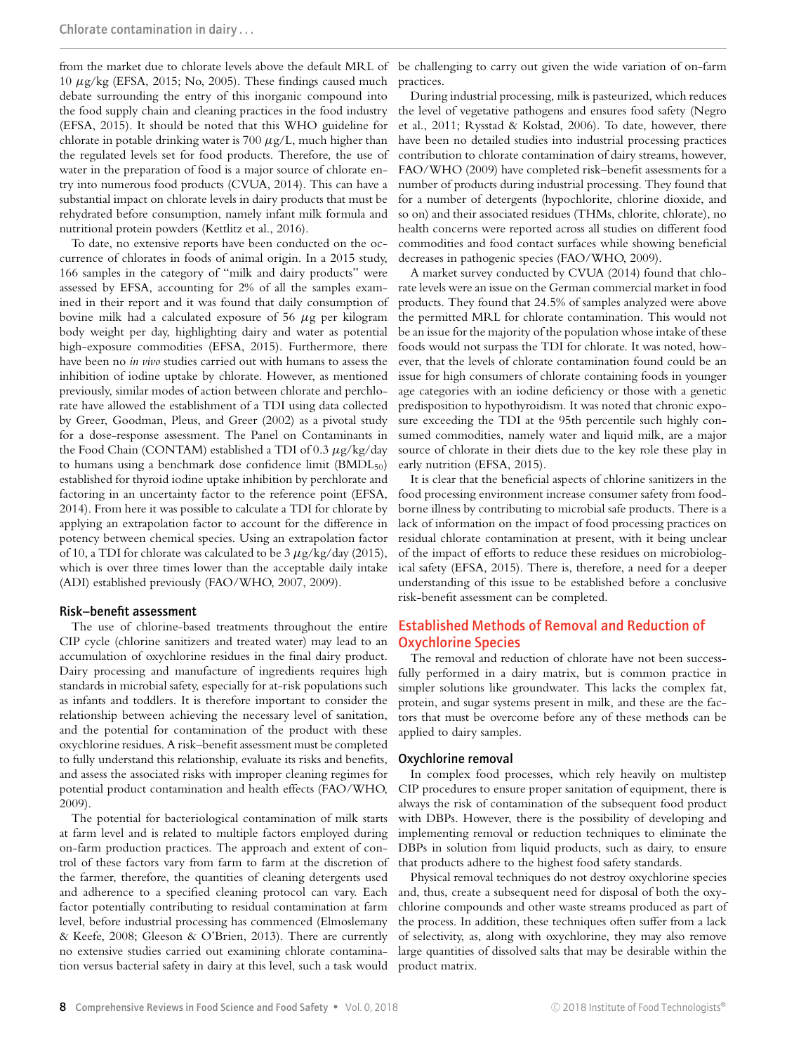from the market due to chlorate levels above the default MRL of be challenging to carry out given the wide variation of on-farm 10 *µ*g/kg (EFSA, 2015; No, 2005). These findings caused much debate surrounding the entry of this inorganic compound into the food supply chain and cleaning practices in the food industry (EFSA, 2015). It should be noted that this WHO guideline for chlorate in potable drinking water is 700 *µ*g/L, much higher than the regulated levels set for food products. Therefore, the use of water in the preparation of food is a major source of chlorate entry into numerous food products (CVUA, 2014). This can have a substantial impact on chlorate levels in dairy products that must be rehydrated before consumption, namely infant milk formula and nutritional protein powders (Kettlitz et al., 2016).

To date, no extensive reports have been conducted on the occurrence of chlorates in foods of animal origin. In a 2015 study, 166 samples in the category of "milk and dairy products" were assessed by EFSA, accounting for 2% of all the samples examined in their report and it was found that daily consumption of bovine milk had a calculated exposure of 56 *µ*g per kilogram body weight per day, highlighting dairy and water as potential high-exposure commodities (EFSA, 2015). Furthermore, there have been no *in vivo* studies carried out with humans to assess the inhibition of iodine uptake by chlorate. However, as mentioned previously, similar modes of action between chlorate and perchlorate have allowed the establishment of a TDI using data collected by Greer, Goodman, Pleus, and Greer (2002) as a pivotal study for a dose-response assessment. The Panel on Contaminants in the Food Chain (CONTAM) established a TDI of 0.3 *µ*g/kg/day to humans using a benchmark dose confidence limit (BMDL<sub>50</sub>) established for thyroid iodine uptake inhibition by perchlorate and factoring in an uncertainty factor to the reference point (EFSA, 2014). From here it was possible to calculate a TDI for chlorate by applying an extrapolation factor to account for the difference in potency between chemical species. Using an extrapolation factor of 10, a TDI for chlorate was calculated to be 3 *µ*g/kg/day (2015), which is over three times lower than the acceptable daily intake (ADI) established previously (FAO/WHO, 2007, 2009).

#### Risk–benefit assessment

The use of chlorine-based treatments throughout the entire CIP cycle (chlorine sanitizers and treated water) may lead to an accumulation of oxychlorine residues in the final dairy product. Dairy processing and manufacture of ingredients requires high standards in microbial safety, especially for at-risk populations such as infants and toddlers. It is therefore important to consider the relationship between achieving the necessary level of sanitation, and the potential for contamination of the product with these oxychlorine residues. A risk–benefit assessment must be completed to fully understand this relationship, evaluate its risks and benefits, and assess the associated risks with improper cleaning regimes for potential product contamination and health effects (FAO/WHO, 2009).

The potential for bacteriological contamination of milk starts at farm level and is related to multiple factors employed during on-farm production practices. The approach and extent of control of these factors vary from farm to farm at the discretion of the farmer, therefore, the quantities of cleaning detergents used and adherence to a specified cleaning protocol can vary. Each factor potentially contributing to residual contamination at farm level, before industrial processing has commenced (Elmoslemany & Keefe, 2008; Gleeson & O'Brien, 2013). There are currently no extensive studies carried out examining chlorate contamination versus bacterial safety in dairy at this level, such a task would

practices.

During industrial processing, milk is pasteurized, which reduces the level of vegetative pathogens and ensures food safety (Negro et al., 2011; Rysstad & Kolstad, 2006). To date, however, there have been no detailed studies into industrial processing practices contribution to chlorate contamination of dairy streams, however, FAO/WHO (2009) have completed risk–benefit assessments for a number of products during industrial processing. They found that for a number of detergents (hypochlorite, chlorine dioxide, and so on) and their associated residues (THMs, chlorite, chlorate), no health concerns were reported across all studies on different food commodities and food contact surfaces while showing beneficial decreases in pathogenic species (FAO/WHO, 2009).

A market survey conducted by CVUA (2014) found that chlorate levels were an issue on the German commercial market in food products. They found that 24.5% of samples analyzed were above the permitted MRL for chlorate contamination. This would not be an issue for the majority of the population whose intake of these foods would not surpass the TDI for chlorate. It was noted, however, that the levels of chlorate contamination found could be an issue for high consumers of chlorate containing foods in younger age categories with an iodine deficiency or those with a genetic predisposition to hypothyroidism. It was noted that chronic exposure exceeding the TDI at the 95th percentile such highly consumed commodities, namely water and liquid milk, are a major source of chlorate in their diets due to the key role these play in early nutrition (EFSA, 2015).

It is clear that the beneficial aspects of chlorine sanitizers in the food processing environment increase consumer safety from foodborne illness by contributing to microbial safe products. There is a lack of information on the impact of food processing practices on residual chlorate contamination at present, with it being unclear of the impact of efforts to reduce these residues on microbiological safety (EFSA, 2015). There is, therefore, a need for a deeper understanding of this issue to be established before a conclusive risk-benefit assessment can be completed.

# Established Methods of Removal and Reduction of Oxychlorine Species

The removal and reduction of chlorate have not been successfully performed in a dairy matrix, but is common practice in simpler solutions like groundwater. This lacks the complex fat, protein, and sugar systems present in milk, and these are the factors that must be overcome before any of these methods can be applied to dairy samples.

#### Oxychlorine removal

In complex food processes, which rely heavily on multistep CIP procedures to ensure proper sanitation of equipment, there is always the risk of contamination of the subsequent food product with DBPs. However, there is the possibility of developing and implementing removal or reduction techniques to eliminate the DBPs in solution from liquid products, such as dairy, to ensure that products adhere to the highest food safety standards.

Physical removal techniques do not destroy oxychlorine species and, thus, create a subsequent need for disposal of both the oxychlorine compounds and other waste streams produced as part of the process. In addition, these techniques often suffer from a lack of selectivity, as, along with oxychlorine, they may also remove large quantities of dissolved salts that may be desirable within the product matrix.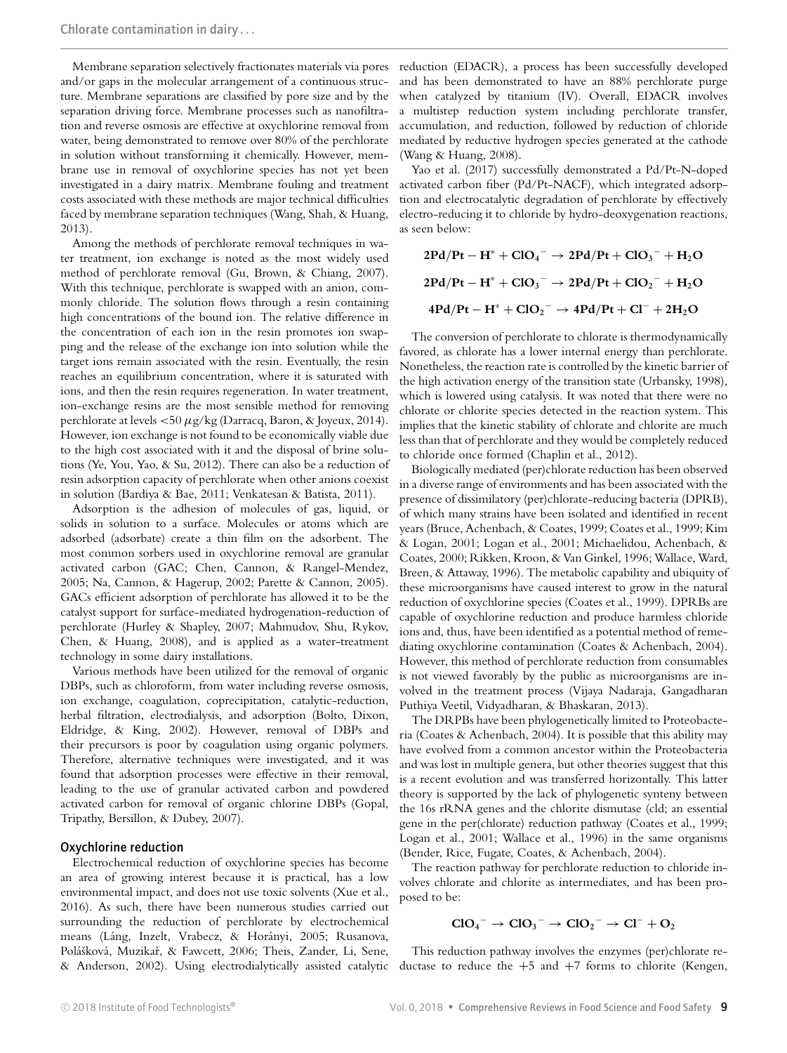Membrane separation selectively fractionates materials via pores and/or gaps in the molecular arrangement of a continuous structure. Membrane separations are classified by pore size and by the separation driving force. Membrane processes such as nanofiltration and reverse osmosis are effective at oxychlorine removal from water, being demonstrated to remove over 80% of the perchlorate in solution without transforming it chemically. However, membrane use in removal of oxychlorine species has not yet been investigated in a dairy matrix. Membrane fouling and treatment costs associated with these methods are major technical difficulties faced by membrane separation techniques (Wang, Shah, & Huang, 2013).

Among the methods of perchlorate removal techniques in water treatment, ion exchange is noted as the most widely used method of perchlorate removal (Gu, Brown, & Chiang, 2007). With this technique, perchlorate is swapped with an anion, commonly chloride. The solution flows through a resin containing high concentrations of the bound ion. The relative difference in the concentration of each ion in the resin promotes ion swapping and the release of the exchange ion into solution while the target ions remain associated with the resin. Eventually, the resin reaches an equilibrium concentration, where it is saturated with ions, and then the resin requires regeneration. In water treatment, ion-exchange resins are the most sensible method for removing perchlorate at levels *<*50 *µ*g/kg (Darracq, Baron, & Joyeux, 2014). However, ion exchange is not found to be economically viable due to the high cost associated with it and the disposal of brine solutions (Ye, You, Yao, & Su, 2012). There can also be a reduction of resin adsorption capacity of perchlorate when other anions coexist in solution (Bardiya & Bae, 2011; Venkatesan & Batista, 2011).

Adsorption is the adhesion of molecules of gas, liquid, or solids in solution to a surface. Molecules or atoms which are adsorbed (adsorbate) create a thin film on the adsorbent. The most common sorbers used in oxychlorine removal are granular activated carbon (GAC; Chen, Cannon, & Rangel-Mendez, 2005; Na, Cannon, & Hagerup, 2002; Parette & Cannon, 2005). GACs efficient adsorption of perchlorate has allowed it to be the catalyst support for surface-mediated hydrogenation-reduction of perchlorate (Hurley & Shapley, 2007; Mahmudov, Shu, Rykov, Chen, & Huang, 2008), and is applied as a water-treatment technology in some dairy installations.

Various methods have been utilized for the removal of organic DBPs, such as chloroform, from water including reverse osmosis, ion exchange, coagulation, coprecipitation, catalytic-reduction, herbal filtration, electrodialysis, and adsorption (Bolto, Dixon, Eldridge, & King, 2002). However, removal of DBPs and their precursors is poor by coagulation using organic polymers. Therefore, alternative techniques were investigated, and it was found that adsorption processes were effective in their removal, leading to the use of granular activated carbon and powdered activated carbon for removal of organic chlorine DBPs (Gopal, Tripathy, Bersillon, & Dubey, 2007).

#### Oxychlorine reduction

Electrochemical reduction of oxychlorine species has become an area of growing interest because it is practical, has a low environmental impact, and does not use toxic solvents (Xue et al., 2016). As such, there have been numerous studies carried out surrounding the reduction of perchlorate by electrochemical means (Láng, Inzelt, Vrabecz, & Horányi, 2005; Rusanova, Polášková, Muzikař, & Fawcett, 2006; Theis, Zander, Li, Sene, & Anderson, 2002). Using electrodialytically assisted catalytic

reduction (EDACR), a process has been successfully developed and has been demonstrated to have an 88% perchlorate purge when catalyzed by titanium (IV). Overall, EDACR involves a multistep reduction system including perchlorate transfer, accumulation, and reduction, followed by reduction of chloride mediated by reductive hydrogen species generated at the cathode (Wang & Huang, 2008).

Yao et al. (2017) successfully demonstrated a Pd/Pt-N-doped activated carbon fiber (Pd/Pt-NACF), which integrated adsorption and electrocatalytic degradation of perchlorate by effectively electro-reducing it to chloride by hydro-deoxygenation reactions, as seen below:

$$
2Pd/Pt - H^* + CIO_4^- \rightarrow 2Pd/Pt + CIO_3^- + H_2O
$$
  

$$
2Pd/Pt - H^* + CIO_3^- \rightarrow 2Pd/Pt + CIO_2^- + H_2O
$$
  

$$
4Pd/Pt - H^* + CIO_2^- \rightarrow 4Pd/Pt + Cl^- + 2H_2O
$$

The conversion of perchlorate to chlorate is thermodynamically favored, as chlorate has a lower internal energy than perchlorate. Nonetheless, the reaction rate is controlled by the kinetic barrier of the high activation energy of the transition state (Urbansky, 1998), which is lowered using catalysis. It was noted that there were no chlorate or chlorite species detected in the reaction system. This implies that the kinetic stability of chlorate and chlorite are much less than that of perchlorate and they would be completely reduced to chloride once formed (Chaplin et al., 2012).

Biologically mediated (per)chlorate reduction has been observed in a diverse range of environments and has been associated with the presence of dissimilatory (per)chlorate-reducing bacteria (DPRB), of which many strains have been isolated and identified in recent years (Bruce, Achenbach, & Coates, 1999; Coates et al., 1999; Kim & Logan, 2001; Logan et al., 2001; Michaelidou, Achenbach, & Coates, 2000; Rikken, Kroon, & Van Ginkel, 1996; Wallace, Ward, Breen, & Attaway, 1996). The metabolic capability and ubiquity of these microorganisms have caused interest to grow in the natural reduction of oxychlorine species (Coates et al., 1999). DPRBs are capable of oxychlorine reduction and produce harmless chloride ions and, thus, have been identified as a potential method of remediating oxychlorine contamination (Coates & Achenbach, 2004). However, this method of perchlorate reduction from consumables is not viewed favorably by the public as microorganisms are involved in the treatment process (Vijaya Nadaraja, Gangadharan Puthiya Veetil, Vidyadharan, & Bhaskaran, 2013).

The DRPBs have been phylogenetically limited to Proteobacteria (Coates & Achenbach, 2004). It is possible that this ability may have evolved from a common ancestor within the Proteobacteria and was lost in multiple genera, but other theories suggest that this is a recent evolution and was transferred horizontally. This latter theory is supported by the lack of phylogenetic synteny between the 16s rRNA genes and the chlorite dismutase (cld; an essential gene in the per(chlorate) reduction pathway (Coates et al., 1999; Logan et al., 2001; Wallace et al., 1996) in the same organisms (Bender, Rice, Fugate, Coates, & Achenbach, 2004).

The reaction pathway for perchlorate reduction to chloride involves chlorate and chlorite as intermediates, and has been proposed to be:

$$
ClO_4^-\rightarrow ClO_3^-\rightarrow ClO_2^-\rightarrow Cl^-+O_2
$$

This reduction pathway involves the enzymes (per)chlorate reductase to reduce the  $+5$  and  $+7$  forms to chlorite (Kengen,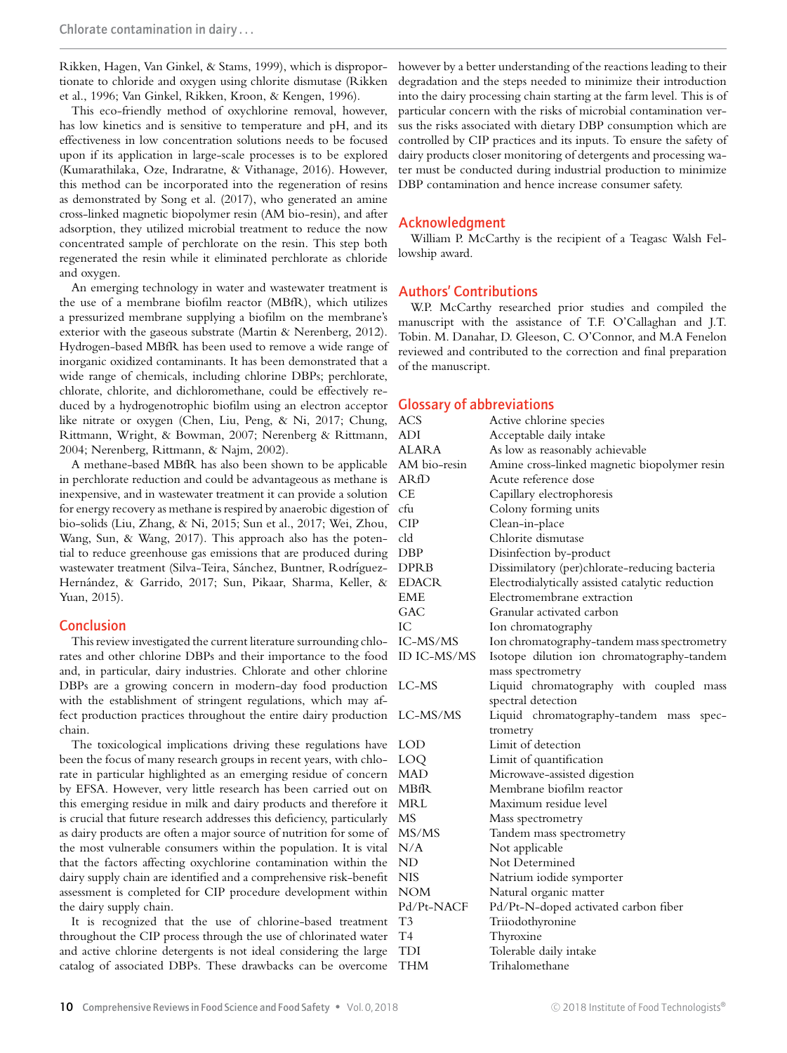Rikken, Hagen, Van Ginkel, & Stams, 1999), which is disproportionate to chloride and oxygen using chlorite dismutase (Rikken et al., 1996; Van Ginkel, Rikken, Kroon, & Kengen, 1996).

This eco-friendly method of oxychlorine removal, however, has low kinetics and is sensitive to temperature and pH, and its effectiveness in low concentration solutions needs to be focused upon if its application in large-scale processes is to be explored (Kumarathilaka, Oze, Indraratne, & Vithanage, 2016). However, this method can be incorporated into the regeneration of resins as demonstrated by Song et al. (2017), who generated an amine cross-linked magnetic biopolymer resin (AM bio-resin), and after adsorption, they utilized microbial treatment to reduce the now concentrated sample of perchlorate on the resin. This step both regenerated the resin while it eliminated perchlorate as chloride and oxygen.

An emerging technology in water and wastewater treatment is the use of a membrane biofilm reactor (MBfR), which utilizes a pressurized membrane supplying a biofilm on the membrane's exterior with the gaseous substrate (Martin & Nerenberg, 2012). Hydrogen-based MBfR has been used to remove a wide range of inorganic oxidized contaminants. It has been demonstrated that a wide range of chemicals, including chlorine DBPs; perchlorate, chlorate, chlorite, and dichloromethane, could be effectively reduced by a hydrogenotrophic biofilm using an electron acceptor like nitrate or oxygen (Chen, Liu, Peng, & Ni, 2017; Chung, Rittmann, Wright, & Bowman, 2007; Nerenberg & Rittmann, 2004; Nerenberg, Rittmann, & Najm, 2002).

A methane-based MBfR has also been shown to be applicable in perchlorate reduction and could be advantageous as methane is inexpensive, and in wastewater treatment it can provide a solution for energy recovery as methane is respired by anaerobic digestion of bio-solids (Liu, Zhang, & Ni, 2015; Sun et al., 2017; Wei, Zhou, Wang, Sun, & Wang, 2017). This approach also has the potential to reduce greenhouse gas emissions that are produced during wastewater treatment (Silva-Teira, Sánchez, Buntner, Rodríguez-Hernández, & Garrido, 2017; Sun, Pikaar, Sharma, Keller, & Yuan, 2015).

#### Conclusion

This review investigated the current literature surrounding chlorates and other chlorine DBPs and their importance to the food and, in particular, dairy industries. Chlorate and other chlorine DBPs are a growing concern in modern-day food production with the establishment of stringent regulations, which may affect production practices throughout the entire dairy production chain.

The toxicological implications driving these regulations have been the focus of many research groups in recent years, with chlorate in particular highlighted as an emerging residue of concern by EFSA. However, very little research has been carried out on this emerging residue in milk and dairy products and therefore it is crucial that future research addresses this deficiency, particularly as dairy products are often a major source of nutrition for some of the most vulnerable consumers within the population. It is vital that the factors affecting oxychlorine contamination within the dairy supply chain are identified and a comprehensive risk-benefit assessment is completed for CIP procedure development within the dairy supply chain.

It is recognized that the use of chlorine-based treatment throughout the CIP process through the use of chlorinated water and active chlorine detergents is not ideal considering the large catalog of associated DBPs. These drawbacks can be overcome

however by a better understanding of the reactions leading to their degradation and the steps needed to minimize their introduction into the dairy processing chain starting at the farm level. This is of particular concern with the risks of microbial contamination versus the risks associated with dietary DBP consumption which are controlled by CIP practices and its inputs. To ensure the safety of dairy products closer monitoring of detergents and processing water must be conducted during industrial production to minimize DBP contamination and hence increase consumer safety.

#### Acknowledgment

William P. McCarthy is the recipient of a Teagasc Walsh Fellowship award.

#### Authors' Contributions

W.P. McCarthy researched prior studies and compiled the manuscript with the assistance of T.F. O'Callaghan and J.T. Tobin. M. Danahar, D. Gleeson, C. O'Connor, and M.A Fenelon reviewed and contributed to the correction and final preparation of the manuscript.

#### Glossary of abbreviations

| <b>ACS</b>     | Active chlorine species                          |
|----------------|--------------------------------------------------|
| <b>ADI</b>     | Acceptable daily intake                          |
| <b>ALARA</b>   | As low as reasonably achievable                  |
| AM bio-resin   | Amine cross-linked magnetic biopolymer resin     |
| ARfD           | Acute reference dose                             |
| CE             | Capillary electrophoresis                        |
| cfu            | Colony forming units                             |
| <b>CIP</b>     | Clean-in-place                                   |
| cld            | Chlorite dismutase                               |
| <b>DBP</b>     | Disinfection by-product                          |
| <b>DPRB</b>    | Dissimilatory (per)chlorate-reducing bacteria    |
| <b>EDACR</b>   | Electrodialytically assisted catalytic reduction |
| <b>EME</b>     | Electromembrane extraction                       |
| <b>GAC</b>     | Granular activated carbon                        |
| IC             | Ion chromatography                               |
| IC-MS/MS       | Ion chromatography-tandem mass spectrometry      |
| ID IC-MS/MS    | Isotope dilution ion chromatography-tandem       |
|                | mass spectrometry                                |
| LC-MS          | Liquid chromatography with coupled<br>mass       |
|                | spectral detection                               |
| LC-MS/MS       | Liquid chromatography-tandem<br>spec-<br>mass    |
|                | trometry                                         |
| <b>LOD</b>     | Limit of detection                               |
| LOQ            | Limit of quantification                          |
| <b>MAD</b>     | Microwave-assisted digestion                     |
| MBfR           | Membrane biofilm reactor                         |
| MRL            | Maximum residue level                            |
| MS             | Mass spectrometry                                |
| MS/MS          | Tandem mass spectrometry                         |
| N/A            | Not applicable                                   |
| ND             | Not Determined                                   |
| <b>NIS</b>     | Natrium iodide symporter                         |
| <b>NOM</b>     | Natural organic matter                           |
| Pd/Pt-NACF     | Pd/Pt-N-doped activated carbon fiber             |
| T3             | Triiodothyronine                                 |
| T <sub>4</sub> | Thyroxine                                        |
| TDI            | Tolerable daily intake                           |
| <b>THM</b>     | Trihalomethane                                   |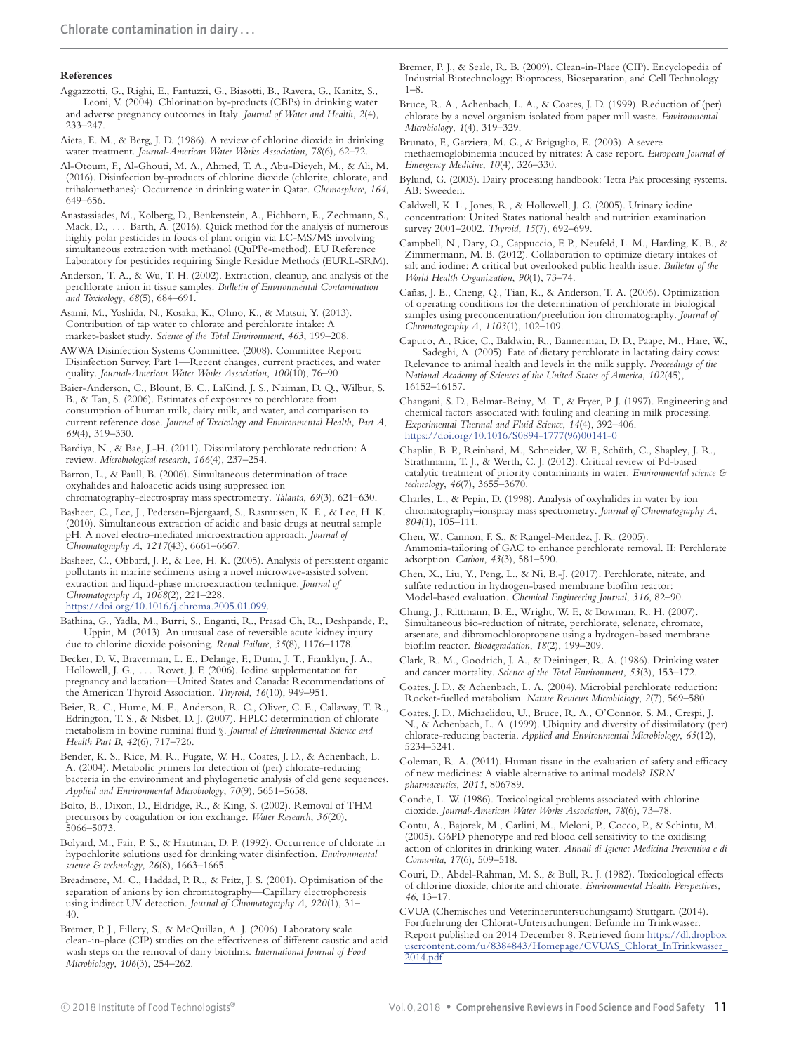#### **References**

- Aggazzotti, G., Righi, E., Fantuzzi, G., Biasotti, B., Ravera, G., Kanitz, S., . Leoni, V. (2004). Chlorination by-products (CBPs) in drinking water and adverse pregnancy outcomes in Italy. *Journal of Water and Health*, *2*(4), 233–247.
- Aieta, E. M., & Berg, J. D. (1986). A review of chlorine dioxide in drinking water treatment. *Journal-American Water Works Association*, *78*(6), 62–72.
- Al-Otoum, F., Al-Ghouti, M. A., Ahmed, T. A., Abu-Dieyeh, M., & Ali, M. (2016). Disinfection by-products of chlorine dioxide (chlorite, chlorate, and trihalomethanes): Occurrence in drinking water in Qatar. *Chemosphere*, *164*, 649–656.
- Anastassiades, M., Kolberg, D., Benkenstein, A., Eichhorn, E., Zechmann, S., Mack, D., ... Barth, A. (2016). Quick method for the analysis of numerous highly polar pesticides in foods of plant origin via LC-MS/MS involving simultaneous extraction with methanol (QuPPe-method). EU Reference Laboratory for pesticides requiring Single Residue Methods (EURL-SRM).
- Anderson, T. A., & Wu, T. H. (2002). Extraction, cleanup, and analysis of the perchlorate anion in tissue samples. *Bulletin of Environmental Contamination and Toxicology*, *68*(5), 684–691.
- Asami, M., Yoshida, N., Kosaka, K., Ohno, K., & Matsui, Y. (2013). Contribution of tap water to chlorate and perchlorate intake: A market-basket study. *Science of the Total Environment*, *463*, 199–208.
- AWWA Disinfection Systems Committee. (2008). Committee Report: Disinfection Survey, Part 1—Recent changes, current practices, and water quality. *Journal-American Water Works Association*, *100*(10), 76–90
- Baier-Anderson, C., Blount, B. C., LaKind, J. S., Naiman, D. Q., Wilbur, S. B., & Tan, S. (2006). Estimates of exposures to perchlorate from consumption of human milk, dairy milk, and water, and comparison to current reference dose. *Journal of Toxicology and Environmental Health, Part A*, *69*(4), 319–330.
- Bardiya, N., & Bae, J.-H. (2011). Dissimilatory perchlorate reduction: A review. *Microbiological research*, *166*(4), 237–254.
- Barron, L., & Paull, B. (2006). Simultaneous determination of trace oxyhalides and haloacetic acids using suppressed ion chromatography-electrospray mass spectrometry. *Talanta*, *69*(3), 621–630.
- Basheer, C., Lee, J., Pedersen-Bjergaard, S., Rasmussen, K. E., & Lee, H. K. (2010). Simultaneous extraction of acidic and basic drugs at neutral sample pH: A novel electro-mediated microextraction approach. *Journal of Chromatography A*, *1217*(43), 6661–6667.
- Basheer, C., Obbard, J. P., & Lee, H. K. (2005). Analysis of persistent organic pollutants in marine sediments using a novel microwave-assisted solvent extraction and liquid-phase microextraction technique. *Journal of Chromatography A*, *1068*(2), 221–228. https://doi.org/10.1016/j.chroma.2005.01.099.
- Bathina, G., Yadla, M., Burri, S., Enganti, R., Prasad Ch, R., Deshpande, P., ... Uppin, M. (2013). An unusual case of reversible acute kidney injury due to chlorine dioxide poisoning. *Renal Failure*, *35*(8), 1176–1178.
- Becker, D. V., Braverman, L. E., Delange, F., Dunn, J. T., Franklyn, J. A., Hollowell, J. G., . . . Rovet, J. F. (2006). Iodine supplementation for pregnancy and lactation—United States and Canada: Recommendations of the American Thyroid Association. *Thyroid*, *16*(10), 949–951.
- Beier, R. C., Hume, M. E., Anderson, R. C., Oliver, C. E., Callaway, T. R., Edrington, T. S., & Nisbet, D. J. (2007). HPLC determination of chlorate metabolism in bovine ruminal fluid §. *Journal of Environmental Science and Health Part B*, *42*(6), 717–726.
- Bender, K. S., Rice, M. R., Fugate, W. H., Coates, J. D., & Achenbach, L. A. (2004). Metabolic primers for detection of (per) chlorate-reducing bacteria in the environment and phylogenetic analysis of cld gene sequences. *Applied and Environmental Microbiology*, *70*(9), 5651–5658.
- Bolto, B., Dixon, D., Eldridge, R., & King, S. (2002). Removal of THM precursors by coagulation or ion exchange. *Water Research*, *36*(20), 5066–5073.
- Bolyard, M., Fair, P. S., & Hautman, D. P. (1992). Occurrence of chlorate in hypochlorite solutions used for drinking water disinfection. *Environmental science & technology*, *26*(8), 1663–1665.
- Breadmore, M. C., Haddad, P. R., & Fritz, J. S. (2001). Optimisation of the separation of anions by ion chromatography—Capillary electrophoresis using indirect UV detection. *Journal of Chromatography A*, *920*(1), 31– 40.
- Bremer, P. J., Fillery, S., & McQuillan, A. J. (2006). Laboratory scale clean-in-place (CIP) studies on the effectiveness of different caustic and acid wash steps on the removal of dairy biofilms. *International Journal of Food Microbiology*, *106*(3), 254–262.
- Bremer, P. J., & Seale, R. B. (2009). Clean-in-Place (CIP). Encyclopedia of Industrial Biotechnology: Bioprocess, Bioseparation, and Cell Technology. 1–8.
- Bruce, R. A., Achenbach, L. A., & Coates, J. D. (1999). Reduction of (per) chlorate by a novel organism isolated from paper mill waste. *Environmental Microbiology*, *1*(4), 319–329.
- Brunato, F., Garziera, M. G., & Briguglio, E. (2003). A severe methaemoglobinemia induced by nitrates: A case report. *European Journal of Emergency Medicine*, *10*(4), 326–330.
- Bylund, G. (2003). Dairy processing handbook: Tetra Pak processing systems. AB: Sweeden.

Caldwell, K. L., Jones, R., & Hollowell, J. G. (2005). Urinary iodine concentration: United States national health and nutrition examination survey 2001–2002. *Thyroid*, *15*(7), 692–699.

Campbell, N., Dary, O., Cappuccio, F. P., Neufeld, L. M., Harding, K. B., & Zimmermann, M. B. (2012). Collaboration to optimize dietary intakes of salt and iodine: A critical but overlooked public health issue. *Bulletin of the World Health Organization*, *90*(1), 73–74.

- Cañas, J. E., Cheng, Q., Tian, K., & Anderson, T. A. (2006). Optimization of operating conditions for the determination of perchlorate in biological samples using preconcentration/preelution ion chromatography. *Journal of Chromatography A*, *1103*(1), 102–109.
- Capuco, A., Rice, C., Baldwin, R., Bannerman, D. D., Paape, M., Hare, W., Sadeghi, A. (2005). Fate of dietary perchlorate in lactating dairy cows: Relevance to animal health and levels in the milk supply. *Proceedings of the National Academy of Sciences of the United States of America*, *102*(45), 16152–16157.
- Changani, S. D., Belmar-Beiny, M. T., & Fryer, P. J. (1997). Engineering and chemical factors associated with fouling and cleaning in milk processing. *Experimental Thermal and Fluid Science*, *14*(4), 392–406. https://doi.org/10.1016/S0894-1777(96)00141-0
- Chaplin, B. P., Reinhard, M., Schneider, W. F., Schuth, C., Shapley, J. R., ¨ Strathmann, T. J., & Werth, C. J. (2012). Critical review of Pd-based catalytic treatment of priority contaminants in water. *Environmental science & technology*, *46*(7), 3655–3670.
- Charles, L., & Pepin, D. (1998). Analysis of oxyhalides in water by ion chromatography–ionspray mass spectrometry. *Journal of Chromatography A*, *804*(1), 105–111.
- Chen, W., Cannon, F. S., & Rangel-Mendez, J. R. (2005). Ammonia-tailoring of GAC to enhance perchlorate removal. II: Perchlorate adsorption. *Carbon*, *43*(3), 581–590.
- Chen, X., Liu, Y., Peng, L., & Ni, B.-J. (2017). Perchlorate, nitrate, and sulfate reduction in hydrogen-based membrane biofilm reactor: Model-based evaluation. *Chemical Engineering Journal*, *316*, 82–90.
- Chung, J., Rittmann, B. E., Wright, W. F., & Bowman, R. H. (2007). Simultaneous bio-reduction of nitrate, perchlorate, selenate, chromate, arsenate, and dibromochloropropane using a hydrogen-based membrane biofilm reactor. *Biodegradation*, *18*(2), 199–209.
- Clark, R. M., Goodrich, J. A., & Deininger, R. A. (1986). Drinking water and cancer mortality. *Science of the Total Environment*, *53*(3), 153–172.
- Coates, J. D., & Achenbach, L. A. (2004). Microbial perchlorate reduction: Rocket-fuelled metabolism. *Nature Reviews Microbiology*, *2*(7), 569–580.
- Coates, J. D., Michaelidou, U., Bruce, R. A., O'Connor, S. M., Crespi, J. N., & Achenbach, L. A. (1999). Ubiquity and diversity of dissimilatory (per) chlorate-reducing bacteria. *Applied and Environmental Microbiology*, *65*(12), 5234–5241.
- Coleman, R. A. (2011). Human tissue in the evaluation of safety and efficacy of new medicines: A viable alternative to animal models? *ISRN pharmaceutics*, *2011*, 806789.
- Condie, L. W. (1986). Toxicological problems associated with chlorine dioxide. *Journal-American Water Works Association*, *78*(6), 73–78.
- Contu, A., Bajorek, M., Carlini, M., Meloni, P., Cocco, P., & Schintu, M. (2005). G6PD phenotype and red blood cell sensitivity to the oxidising action of chlorites in drinking water. *Annali di Igiene: Medicina Preventiva e di Comunita*, *17*(6), 509–518.
- Couri, D., Abdel-Rahman, M. S., & Bull, R. J. (1982). Toxicological effects of chlorine dioxide, chlorite and chlorate. *Environmental Health Perspectives*, *46*, 13–17.
- CVUA (Chemisches und Veterinaeruntersuchungsamt) Stuttgart. (2014). Fortfuehrung der Chlorat-Untersuchungen: Befunde im Trinkwasser. Report published on 2014 December 8. Retrieved from https://dl.dropbox usercontent.com/u/8384843/Homepage/CVUAS\_Chlorat\_InTrinkwasser\_ 2014.pdf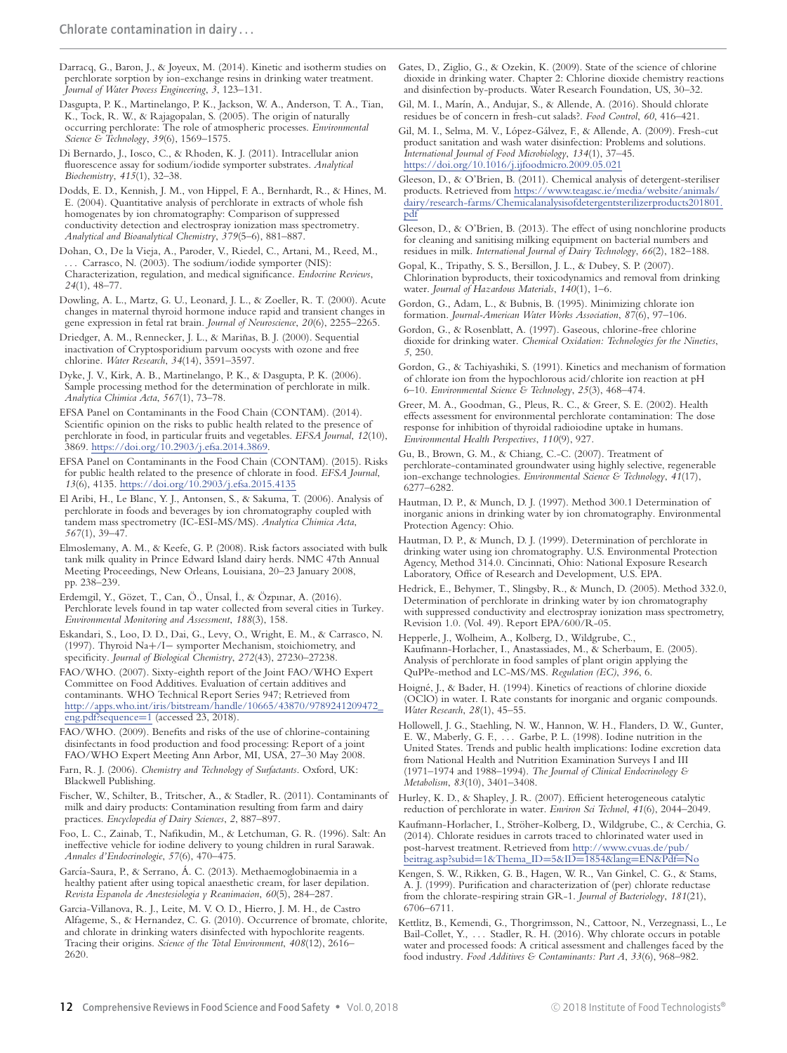Darracq, G., Baron, J., & Joyeux, M. (2014). Kinetic and isotherm studies on perchlorate sorption by ion-exchange resins in drinking water treatment. *Journal of Water Process Engineering*, *3*, 123–131.

Dasgupta, P. K., Martinelango, P. K., Jackson, W. A., Anderson, T. A., Tian, K., Tock, R. W., & Rajagopalan, S. (2005). The origin of naturally occurring perchlorate: The role of atmospheric processes. *Environmental Science & Technology*, *39*(6), 1569–1575.

Di Bernardo, J., Iosco, C., & Rhoden, K. J. (2011). Intracellular anion fluorescence assay for sodium/iodide symporter substrates. *Analytical Biochemistry*, *415*(1), 32–38.

Dodds, E. D., Kennish, J. M., von Hippel, F. A., Bernhardt, R., & Hines, M. E. (2004). Quantitative analysis of perchlorate in extracts of whole fish homogenates by ion chromatography: Comparison of suppressed conductivity detection and electrospray ionization mass spectrometry. *Analytical and Bioanalytical Chemistry*, *379*(5–6), 881–887.

Dohan, O., De la Vieja, A., Paroder, V., Riedel, C., Artani, M., Reed, M., . Carrasco, N. (2003). The sodium/iodide symporter (NIS): Characterization, regulation, and medical significance. *Endocrine Reviews*, *24*(1), 48–77.

Dowling, A. L., Martz, G. U., Leonard, J. L., & Zoeller, R. T. (2000). Acute changes in maternal thyroid hormone induce rapid and transient changes in gene expression in fetal rat brain. *Journal of Neuroscience*, *20*(6), 2255–2265.

Driedger, A. M., Rennecker, J. L., & Mariñas, B. J. (2000). Sequential inactivation of Cryptosporidium parvum oocysts with ozone and free chlorine. *Water Research*, *34*(14), 3591–3597.

Dyke, J. V., Kirk, A. B., Martinelango, P. K., & Dasgupta, P. K. (2006). Sample processing method for the determination of perchlorate in milk. *Analytica Chimica Acta*, *567*(1), 73–78.

EFSA Panel on Contaminants in the Food Chain (CONTAM). (2014). Scientific opinion on the risks to public health related to the presence of perchlorate in food, in particular fruits and vegetables. *EFSA Journal*, *12*(10), 3869. https://doi.org/10.2903/j.efsa.2014.3869.

EFSA Panel on Contaminants in the Food Chain (CONTAM). (2015). Risks for public health related to the presence of chlorate in food. *EFSA Journal*, *13*(6), 4135. https://doi.org/10.2903/j.efsa.2015.4135

El Aribi, H., Le Blanc, Y. J., Antonsen, S., & Sakuma, T. (2006). Analysis of perchlorate in foods and beverages by ion chromatography coupled with tandem mass spectrometry (IC-ESI-MS/MS). *Analytica Chimica Acta*, *567*(1), 39–47.

Elmoslemany, A. M., & Keefe, G. P. (2008). Risk factors associated with bulk tank milk quality in Prince Edward Island dairy herds. NMC 47th Annual Meeting Proceedings, New Orleans, Louisiana, 20–23 January 2008, pp. 238–239.

Erdemgil, Y., Gözet, T., Can, Ö., Ünsal, İ., & Özpınar, A. (2016). Perchlorate levels found in tap water collected from several cities in Turkey. *Environmental Monitoring and Assessment*, *188*(3), 158.

Eskandari, S., Loo, D. D., Dai, G., Levy, O., Wright, E. M., & Carrasco, N. (1997). Thyroid Na+/I− symporter Mechanism, stoichiometry, and specificity. *Journal of Biological Chemistry*, *272*(43), 27230–27238.

FAO/WHO. (2007). Sixty-eighth report of the Joint FAO/WHO Expert Committee on Food Additives. Evaluation of certain additives and contaminants. WHO Technical Report Series 947; Retrieved from http://apps.who.int/iris/bitstream/handle/10665/43870/9789241209472\_ eng.pdf?sequence=1 (accessed 23, 2018).

FAO/WHO. (2009). Benefits and risks of the use of chlorine-containing disinfectants in food production and food processing: Report of a joint FAO/WHO Expert Meeting Ann Arbor, MI, USA, 27–30 May 2008.

Farn, R. J. (2006). *Chemistry and Technology of Surfactants*. Oxford, UK: Blackwell Publishing.

Fischer, W., Schilter, B., Tritscher, A., & Stadler, R. (2011). Contaminants of milk and dairy products: Contamination resulting from farm and dairy practices. *Encyclopedia of Dairy Sciences*, *2*, 887–897.

Foo, L. C., Zainab, T., Nafikudin, M., & Letchuman, G. R. (1996). Salt: An ineffective vehicle for iodine delivery to young children in rural Sarawak. *Annales d'Endocrinologie*, *57*(6), 470–475.

García-Saura, P., & Serrano, Á. C. (2013). Methaemoglobinaemia in a healthy patient after using topical anaesthetic cream, for laser depilation. *Revista Espanola de Anestesiologia y Reanimacion*, *60*(5), 284–287.

Garcia-Villanova, R. J., Leite, M. V. O. D., Hierro, J. M. H., de Castro Alfageme, S., & Hernandez, C. G. (2010). Occurrence of bromate, chlorite, and chlorate in drinking waters disinfected with hypochlorite reagents. Tracing their origins. *Science of the Total Environment*, *408*(12), 2616– 2620.

Gates, D., Ziglio, G., & Ozekin, K. (2009). State of the science of chlorine dioxide in drinking water. Chapter 2: Chlorine dioxide chemistry reactions and disinfection by-products. Water Research Foundation, US, 30–32.

Gil, M. I., Marín, A., Andujar, S., & Allende, A. (2016). Should chlorate residues be of concern in fresh-cut salads?. *Food Control*, *60*, 416–421.

Gil, M. I., Selma, M. V., López-Gálvez, F., & Allende, A. (2009). Fresh-cut product sanitation and wash water disinfection: Problems and solutions. *International Journal of Food Microbiology*, *134*(1), 37–45. https://doi.org/10.1016/j.ijfoodmicro.2009.05.021

Gleeson, D., & O'Brien, B. (2011). Chemical analysis of detergent-steriliser products. Retrieved from https://www.teagasc.ie/media/website/animals/ dairy/research-farms/Chemicalanalysisofdetergentsterilizerproducts201801. pdf

Gleeson, D., & O'Brien, B. (2013). The effect of using nonchlorine products for cleaning and sanitising milking equipment on bacterial numbers and residues in milk. *International Journal of Dairy Technology*, *66*(2), 182–188.

Gopal, K., Tripathy, S. S., Bersillon, J. L., & Dubey, S. P. (2007). Chlorination byproducts, their toxicodynamics and removal from drinking water. *Journal of Hazardous Materials*, *140*(1), 1–6.

Gordon, G., Adam, L., & Bubnis, B. (1995). Minimizing chlorate ion formation. *Journal-American Water Works Association*, *87*(6), 97–106.

Gordon, G., & Rosenblatt, A. (1997). Gaseous, chlorine-free chlorine dioxide for drinking water. *Chemical Oxidation: Technologies for the Nineties*, *5*, 250.

Gordon, G., & Tachiyashiki, S. (1991). Kinetics and mechanism of formation of chlorate ion from the hypochlorous acid/chlorite ion reaction at pH 6–10. *Environmental Science & Technology*, *25*(3), 468–474.

Greer, M. A., Goodman, G., Pleus, R. C., & Greer, S. E. (2002). Health effects assessment for environmental perchlorate contamination: The dose response for inhibition of thyroidal radioiodine uptake in humans. *Environmental Health Perspectives*, *110*(9), 927.

Gu, B., Brown, G. M., & Chiang, C.-C. (2007). Treatment of perchlorate-contaminated groundwater using highly selective, regenerable ion-exchange technologies. *Environmental Science & Technology*, *41*(17), 6277–6282.

Hautman, D. P., & Munch, D. J. (1997). Method 300.1 Determination of inorganic anions in drinking water by ion chromatography. Environmental Protection Agency: Ohio.

Hautman, D. P., & Munch, D. J. (1999). Determination of perchlorate in drinking water using ion chromatography. U.S. Environmental Protection Agency, Method 314.0. Cincinnati, Ohio: National Exposure Research Laboratory, Office of Research and Development, U.S. EPA.

Hedrick, E., Behymer, T., Slingsby, R., & Munch, D. (2005). Method 332.0, Determination of perchlorate in drinking water by ion chromatography with suppressed conductivity and electrospray ionization mass spectrometry, Revision 1.0. (Vol. 49). Report EPA/600/R-05.

Hepperle, J., Wolheim, A., Kolberg, D., Wildgrube, C., Kaufmann-Horlacher, I., Anastassiades, M., & Scherbaum, E. (2005). Analysis of perchlorate in food samples of plant origin applying the QuPPe-method and LC-MS/MS. *Regulation (EC)*, *396*, 6.

Hoigné, J., & Bader, H. (1994). Kinetics of reactions of chlorine dioxide (OClO) in water. I. Rate constants for inorganic and organic compounds. *Water Research*, *28*(1), 45–55.

Hollowell, J. G., Staehling, N. W., Hannon, W. H., Flanders, D. W., Gunter, E. W., Maberly, G. F., ... Garbe, P. L. (1998). Iodine nutrition in the United States. Trends and public health implications: Iodine excretion data from National Health and Nutrition Examination Surveys I and III (1971–1974 and 1988–1994). *The Journal of Clinical Endocrinology & Metabolism*, *83*(10), 3401–3408.

Hurley, K. D., & Shapley, J. R. (2007). Efficient heterogeneous catalytic reduction of perchlorate in water. *Environ Sci Technol*, *41*(6), 2044–2049.

Kaufmann-Horlacher, I., Ströher-Kolberg, D., Wildgrube, C., & Cerchia, G. (2014). Chlorate residues in carrots traced to chlorinated water used in post-harvest treatment. Retrieved from http://www.cvuas.de/pub/ beitrag.asp?subid=1&Thema\_ID=5&ID=1854&lang=EN&Pdf=No

Kengen, S. W., Rikken, G. B., Hagen, W. R., Van Ginkel, C. G., & Stams, A. J. (1999). Purification and characterization of (per) chlorate reductase from the chlorate-respiring strain GR-1. *Journal of Bacteriology*, *181*(21), 6706–6711.

Kettlitz, B., Kemendi, G., Thorgrimsson, N., Cattoor, N., Verzegnassi, L., Le Bail-Collet, Y., ... Stadler, R. H. (2016). Why chlorate occurs in potable water and processed foods: A critical assessment and challenges faced by the food industry. *Food Additives & Contaminants: Part A*, *33*(6), 968–982.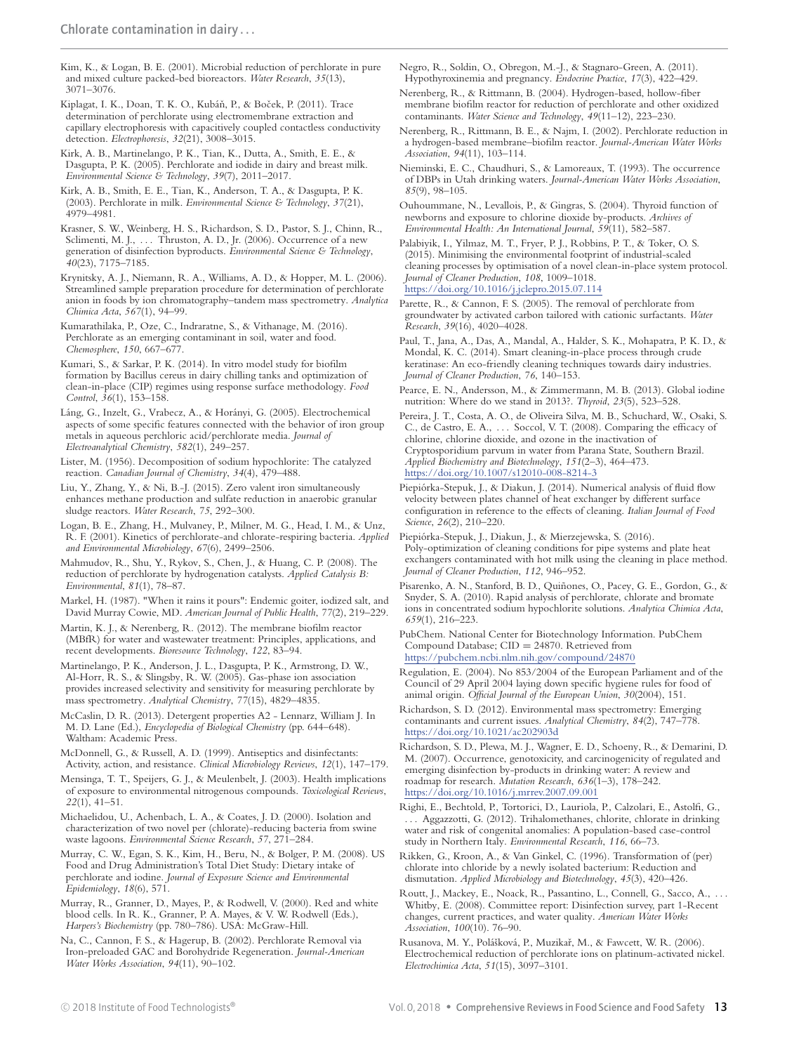Kim, K., & Logan, B. E. (2001). Microbial reduction of perchlorate in pure and mixed culture packed-bed bioreactors. *Water Research*, *35*(13), 3071–3076.

Kiplagat, I. K., Doan, T. K. O., Kubáň, P., & Boček, P. (2011). Trace determination of perchlorate using electromembrane extraction and capillary electrophoresis with capacitively coupled contactless conductivity detection. *Electrophoresis*, *32*(21), 3008–3015.

Kirk, A. B., Martinelango, P. K., Tian, K., Dutta, A., Smith, E. E., & Dasgupta, P. K. (2005). Perchlorate and iodide in dairy and breast milk. *Environmental Science & Technology*, *39*(7), 2011–2017.

Kirk, A. B., Smith, E. E., Tian, K., Anderson, T. A., & Dasgupta, P. K. (2003). Perchlorate in milk. *Environmental Science & Technology*, *37*(21), 4979–4981.

Krasner, S. W., Weinberg, H. S., Richardson, S. D., Pastor, S. J., Chinn, R., Sclimenti, M. J., ... Thruston, A. D., Jr. (2006). Occurrence of a new generation of disinfection byproducts. *Environmental Science & Technology*, *40*(23), 7175–7185.

Krynitsky, A. J., Niemann, R. A., Williams, A. D., & Hopper, M. L. (2006). Streamlined sample preparation procedure for determination of perchlorate anion in foods by ion chromatography–tandem mass spectrometry. *Analytica Chimica Acta*, *567*(1), 94–99.

Kumarathilaka, P., Oze, C., Indraratne, S., & Vithanage, M. (2016). Perchlorate as an emerging contaminant in soil, water and food. *Chemosphere*, *150*, 667–677.

Kumari, S., & Sarkar, P. K. (2014). In vitro model study for biofilm formation by Bacillus cereus in dairy chilling tanks and optimization of clean-in-place (CIP) regimes using response surface methodology. *Food Control*, *36*(1), 153–158.

Láng, G., Inzelt, G., Vrabecz, A., & Horányi, G. (2005). Electrochemical aspects of some specific features connected with the behavior of iron group metals in aqueous perchloric acid/perchlorate media. *Journal of Electroanalytical Chemistry*, *582*(1), 249–257.

Lister, M. (1956). Decomposition of sodium hypochlorite: The catalyzed reaction. *Canadian Journal of Chemistry*, *34*(4), 479–488.

Liu, Y., Zhang, Y., & Ni, B.-J. (2015). Zero valent iron simultaneously enhances methane production and sulfate reduction in anaerobic granular sludge reactors. *Water Research*, *75*, 292–300.

Logan, B. E., Zhang, H., Mulvaney, P., Milner, M. G., Head, I. M., & Unz, R. F. (2001). Kinetics of perchlorate-and chlorate-respiring bacteria. *Applied and Environmental Microbiology*, *67*(6), 2499–2506.

Mahmudov, R., Shu, Y., Rykov, S., Chen, J., & Huang, C. P. (2008). The reduction of perchlorate by hydrogenation catalysts. *Applied Catalysis B: Environmental*, *81*(1), 78–87.

Markel, H. (1987). "When it rains it pours": Endemic goiter, iodized salt, and David Murray Cowie, MD. *American Journal of Public Health*, *77*(2), 219–229.

Martin, K. J., & Nerenberg, R. (2012). The membrane biofilm reactor (MBfR) for water and wastewater treatment: Principles, applications, and recent developments. *Bioresource Technology*, *122*, 83–94.

Martinelango, P. K., Anderson, J. L., Dasgupta, P. K., Armstrong, D. W., Al-Horr, R. S., & Slingsby, R. W. (2005). Gas-phase ion association provides increased selectivity and sensitivity for measuring perchlorate by mass spectrometry. *Analytical Chemistry*, *77*(15), 4829–4835.

McCaslin, D. R. (2013). Detergent properties A2 - Lennarz, William J. In M. D. Lane (Ed.), *Encyclopedia of Biological Chemistry* (pp. 644–648). Waltham: Academic Press.

McDonnell, G., & Russell, A. D. (1999). Antiseptics and disinfectants: Activity, action, and resistance. *Clinical Microbiology Reviews*, *12*(1), 147–179.

Mensinga, T. T., Speijers, G. J., & Meulenbelt, J. (2003). Health implications of exposure to environmental nitrogenous compounds. *Toxicological Reviews*, *22*(1), 41–51.

Michaelidou, U., Achenbach, L. A., & Coates, J. D. (2000). Isolation and characterization of two novel per (chlorate)-reducing bacteria from swine waste lagoons. *Environmental Science Research*, *57*, 271–284.

Murray, C. W., Egan, S. K., Kim, H., Beru, N., & Bolger, P. M. (2008). US Food and Drug Administration's Total Diet Study: Dietary intake of perchlorate and iodine. *Journal of Exposure Science and Environmental Epidemiology*, *18*(6), 571.

Murray, R., Granner, D., Mayes, P., & Rodwell, V. (2000). Red and white blood cells. In R. K., Granner, P. A. Mayes, & V. W. Rodwell (Eds.), *Harpers's Biochemistry* (pp. 780–786). USA: McGraw-Hill.

Na, C., Cannon, F. S., & Hagerup, B. (2002). Perchlorate Removal via Iron-preloaded GAC and Borohydride Regeneration. *Journal-American Water Works Association*, *94*(11), 90–102.

Negro, R., Soldin, O., Obregon, M.-J., & Stagnaro-Green, A. (2011). Hypothyroxinemia and pregnancy. *Endocrine Practice*, *17*(3), 422–429.

Nerenberg, R., & Rittmann, B. (2004). Hydrogen-based, hollow-fiber membrane biofilm reactor for reduction of perchlorate and other oxidized contaminants. *Water Science and Technology*, *49*(11–12), 223–230.

Nerenberg, R., Rittmann, B. E., & Najm, I. (2002). Perchlorate reduction in a hydrogen-based membrane–biofilm reactor. *Journal-American Water Works Association*, *94*(11), 103–114.

Nieminski, E. C., Chaudhuri, S., & Lamoreaux, T. (1993). The occurrence of DBPs in Utah drinking waters. *Journal-American Water Works Association*, *85*(9), 98–105.

Ouhoummane, N., Levallois, P., & Gingras, S. (2004). Thyroid function of newborns and exposure to chlorine dioxide by-products. *Archives of Environmental Health: An International Journal*, *59*(11), 582–587.

Palabiyik, I., Yilmaz, M. T., Fryer, P. J., Robbins, P. T., & Toker, O. S. (2015). Minimising the environmental footprint of industrial-scaled cleaning processes by optimisation of a novel clean-in-place system protocol. *Journal of Cleaner Production*, *108*, 1009–1018. https://doi.org/10.1016/j.jclepro.2015.07.114

Parette, R., & Cannon, F. S. (2005). The removal of perchlorate from groundwater by activated carbon tailored with cationic surfactants. *Water Research*, *39*(16), 4020–4028.

Paul, T., Jana, A., Das, A., Mandal, A., Halder, S. K., Mohapatra, P. K. D., & Mondal, K. C. (2014). Smart cleaning-in-place process through crude keratinase: An eco-friendly cleaning techniques towards dairy industries. *Journal of Cleaner Production*, *76*, 140–153.

Pearce, E. N., Andersson, M., & Zimmermann, M. B. (2013). Global iodine nutrition: Where do we stand in 2013?. *Thyroid*, *23*(5), 523–528.

Pereira, J. T., Costa, A. O., de Oliveira Silva, M. B., Schuchard, W., Osaki, S. C., de Castro, E. A., . . . Soccol, V. T. (2008). Comparing the efficacy of chlorine, chlorine dioxide, and ozone in the inactivation of Cryptosporidium parvum in water from Parana State, Southern Brazil. *Applied Biochemistry and Biotechnology*, *151*(2–3), 464–473. https://doi.org/10.1007/s12010-008-8214-3

Piepiórka-Stepuk, J., & Diakun, J. (2014). Numerical analysis of fluid flow velocity between plates channel of heat exchanger by different surface configuration in reference to the effects of cleaning. *Italian Journal of Food Science*, *26*(2), 210–220.

Piepiorka-Stepuk, J., Diakun, J., & Mierzejewska, S. (2016). ´ Poly-optimization of cleaning conditions for pipe systems and plate heat exchangers contaminated with hot milk using the cleaning in place method. *Journal of Cleaner Production*, *112*, 946–952.

Pisarenko, A. N., Stanford, B. D., Quiñones, O., Pacey, G. E., Gordon, G., & Snyder, S. A. (2010). Rapid analysis of perchlorate, chlorate and bromate ions in concentrated sodium hypochlorite solutions. *Analytica Chimica Acta*, *659*(1), 216–223.

PubChem. National Center for Biotechnology Information. PubChem Compound Database; CID = 24870. Retrieved from https://pubchem.ncbi.nlm.nih.gov/compound/24870

Regulation, E. (2004). No 853/2004 of the European Parliament and of the Council of 29 April 2004 laying down specific hygiene rules for food of animal origin. *Official Journal of the European Union*, *30*(2004), 151.

Richardson, S. D. (2012). Environmental mass spectrometry: Emerging contaminants and current issues. *Analytical Chemistry*, *84*(2), 747–778. https://doi.org/10.1021/ac202903d

Richardson, S. D., Plewa, M. J., Wagner, E. D., Schoeny, R., & Demarini, D. M. (2007). Occurrence, genotoxicity, and carcinogenicity of regulated and emerging disinfection by-products in drinking water: A review and roadmap for research. *Mutation Research*, *636*(1–3), 178–242. https://doi.org/10.1016/j.mrrev.2007.09.001

Righi, E., Bechtold, P., Tortorici, D., Lauriola, P., Calzolari, E., Astolfi, G., . . . Aggazzotti, G. (2012). Trihalomethanes, chlorite, chlorate in drinking water and risk of congenital anomalies: A population-based case-control study in Northern Italy. *Environmental Research*, *116*, 66–73.

Rikken, G., Kroon, A., & Van Ginkel, C. (1996). Transformation of (per) chlorate into chloride by a newly isolated bacterium: Reduction and dismutation. *Applied Microbiology and Biotechnology*, *45*(3), 420–426.

Routt, J., Mackey, E., Noack, R., Passantino, L., Connell, G., Sacco, A., . . . Whitby, E. (2008). Committee report: Disinfection survey, part 1-Recent changes, current practices, and water quality. *American Water Works Association*, *100*(10). 76–90.

Rusanova, M. Y., Polášková, P., Muzikař, M., & Fawcett, W. R. (2006). Electrochemical reduction of perchlorate ions on platinum-activated nickel. *Electrochimica Acta*, *51*(15), 3097–3101.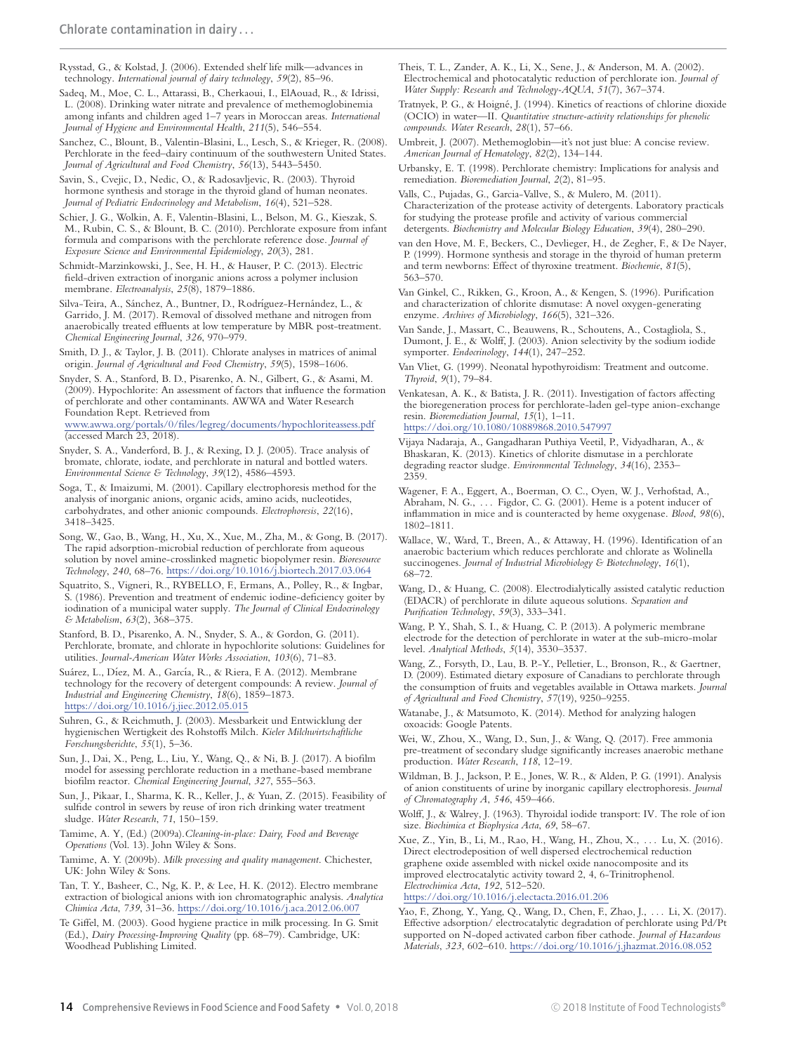Rysstad, G., & Kolstad, J. (2006). Extended shelf life milk—advances in technology. *International journal of dairy technology*, *59*(2), 85–96.

Sadeq, M., Moe, C. L., Attarassi, B., Cherkaoui, I., ElAouad, R., & Idrissi, L. (2008). Drinking water nitrate and prevalence of methemoglobinemia among infants and children aged 1–7 years in Moroccan areas. *International Journal of Hygiene and Environmental Health*, *211*(5), 546–554.

Sanchez, C., Blount, B., Valentin-Blasini, L., Lesch, S., & Krieger, R. (2008). Perchlorate in the feed–dairy continuum of the southwestern United States. *Journal of Agricultural and Food Chemistry*, *56*(13), 5443–5450.

Savin, S., Cvejic, D., Nedic, O., & Radosavljevic, R. (2003). Thyroid hormone synthesis and storage in the thyroid gland of human neonates. *Journal of Pediatric Endocrinology and Metabolism*, *16*(4), 521–528.

Schier, J. G., Wolkin, A. F., Valentin-Blasini, L., Belson, M. G., Kieszak, S. M., Rubin, C. S., & Blount, B. C. (2010). Perchlorate exposure from infant formula and comparisons with the perchlorate reference dose. *Journal of Exposure Science and Environmental Epidemiology*, *20*(3), 281.

Schmidt-Marzinkowski, J., See, H. H., & Hauser, P. C. (2013). Electric field-driven extraction of inorganic anions across a polymer inclusion membrane. *Electroanalysis*, *25*(8), 1879–1886.

Silva-Teira, A., Sánchez, A., Buntner, D., Rodríguez-Hernández, L., & Garrido, J. M. (2017). Removal of dissolved methane and nitrogen from anaerobically treated effluents at low temperature by MBR post-treatment. *Chemical Engineering Journal*, *326*, 970–979.

Smith, D. J., & Taylor, J. B. (2011). Chlorate analyses in matrices of animal origin. *Journal of Agricultural and Food Chemistry*, *59*(5), 1598–1606.

Snyder, S. A., Stanford, B. D., Pisarenko, A. N., Gilbert, G., & Asami, M. (2009). Hypochlorite: An assessment of factors that influence the formation of perchlorate and other contaminants. AWWA and Water Research Foundation Rept. Retrieved from www.awwa.org/portals/0/files/legreg/documents/hypochloriteassess.pdf (accessed March 23, 2018).

Snyder, S. A., Vanderford, B. J., & Rexing, D. J. (2005). Trace analysis of bromate, chlorate, iodate, and perchlorate in natural and bottled waters. *Environmental Science & Technology*, *39*(12), 4586–4593.

Soga, T., & Imaizumi, M. (2001). Capillary electrophoresis method for the analysis of inorganic anions, organic acids, amino acids, nucleotides, carbohydrates, and other anionic compounds. *Electrophoresis*, *22*(16), 3418–3425.

Song, W., Gao, B., Wang, H., Xu, X., Xue, M., Zha, M., & Gong, B. (2017). The rapid adsorption-microbial reduction of perchlorate from aqueous solution by novel amine-crosslinked magnetic biopolymer resin. *Bioresource Technology*, *240*, 68–76. https://doi.org/10.1016/j.biortech.2017.03.064

Squatrito, S., Vigneri, R., RYBELLO, F., Ermans, A., Polley, R., & Ingbar, S. (1986). Prevention and treatment of endemic iodine-deficiency goiter by iodination of a municipal water supply. *The Journal of Clinical Endocrinology & Metabolism*, *63*(2), 368–375.

Stanford, B. D., Pisarenko, A. N., Snyder, S. A., & Gordon, G. (2011). Perchlorate, bromate, and chlorate in hypochlorite solutions: Guidelines for utilities. *Journal-American Water Works Association*, *103*(6), 71–83.

Suárez, L., Díez, M. A., García, R., & Riera, F. A. (2012). Membrane technology for the recovery of detergent compounds: A review. *Journal of Industrial and Engineering Chemistry*, *18*(6), 1859–1873. https://doi.org/10.1016/j.jiec.2012.05.015

Suhren, G., & Reichmuth, J. (2003). Messbarkeit und Entwicklung der hygienischen Wertigkeit des Rohstoffs Milch. *Kieler Milchwirtschaftliche Forschungsberichte*, *55*(1), 5–36.

Sun, J., Dai, X., Peng, L., Liu, Y., Wang, Q., & Ni, B. J. (2017). A biofilm model for assessing perchlorate reduction in a methane-based membrane biofilm reactor. *Chemical Engineering Journal*, *327*, 555–563.

Sun, J., Pikaar, I., Sharma, K. R., Keller, J., & Yuan, Z. (2015). Feasibility of sulfide control in sewers by reuse of iron rich drinking water treatment sludge. *Water Research*, *71*, 150–159.

Tamime, A. Y, (Ed.) (2009a).*Cleaning-in-place: Dairy, Food and Beverage Operations* (Vol. 13). John Wiley & Sons.

Tamime, A. Y. (2009b). *Milk processing and quality management*. Chichester, UK: John Wiley & Sons.

Tan, T. Y., Basheer, C., Ng, K. P., & Lee, H. K. (2012). Electro membrane extraction of biological anions with ion chromatographic analysis. *Analytica Chimica Acta*, *739*, 31–36. https://doi.org/10.1016/j.aca.2012.06.007

Te Giffel, M. (2003). Good hygiene practice in milk processing. In G. Smit (Ed.), *Dairy Processing-Improving Quality* (pp. 68–79). Cambridge, UK: Woodhead Publishing Limited.

Theis, T. L., Zander, A. K., Li, X., Sene, J., & Anderson, M. A. (2002). Electrochemical and photocatalytic reduction of perchlorate ion. *Journal of Water Supply: Research and Technology-AQUA*, *51*(7), 367–374.

Tratnyek, P. G., & Hoigné, J. (1994). Kinetics of reactions of chlorine dioxide (OCIO) in water—II. *Quantitative structure-activity relationships for phenolic compounds. Water Research*, *28*(1), 57–66.

Umbreit, J. (2007). Methemoglobin—it's not just blue: A concise review. *American Journal of Hematology*, *82*(2), 134–144.

Urbansky, E. T. (1998). Perchlorate chemistry: Implications for analysis and remediation. *Bioremediation Journal*, *2*(2), 81–95.

Valls, C., Pujadas, G., Garcia-Vallve, S., & Mulero, M. (2011). Characterization of the protease activity of detergents. Laboratory practicals for studying the protease profile and activity of various commercial detergents. *Biochemistry and Molecular Biology Education*, *39*(4), 280–290.

van den Hove, M. F., Beckers, C., Devlieger, H., de Zegher, F., & De Nayer, P. (1999). Hormone synthesis and storage in the thyroid of human preterm and term newborns: Effect of thyroxine treatment. *Biochemie*, *81*(5), 563–570.

Van Ginkel, C., Rikken, G., Kroon, A., & Kengen, S. (1996). Purification and characterization of chlorite dismutase: A novel oxygen-generating enzyme. *Archives of Microbiology*, *166*(5), 321–326.

Van Sande, J., Massart, C., Beauwens, R., Schoutens, A., Costagliola, S., Dumont, J. E., & Wolff, J. (2003). Anion selectivity by the sodium iodide symporter. *Endocrinology*, *144*(1), 247–252.

Van Vliet, G. (1999). Neonatal hypothyroidism: Treatment and outcome. *Thyroid*, *9*(1), 79–84.

Venkatesan, A. K., & Batista, J. R. (2011). Investigation of factors affecting the bioregeneration process for perchlorate-laden gel-type anion-exchange resin. *Bioremediation Journal*, *15*(1), 1–11. https://doi.org/10.1080/10889868.2010.547997

Vijaya Nadaraja, A., Gangadharan Puthiya Veetil, P., Vidyadharan, A., & Bhaskaran, K. (2013). Kinetics of chlorite dismutase in a perchlorate degrading reactor sludge. *Environmental Technology*, *34*(16), 2353– 2359.

Wagener, F. A., Eggert, A., Boerman, O. C., Oyen, W. J., Verhofstad, A., Abraham, N. G., . . . Figdor, C. G. (2001). Heme is a potent inducer of inflammation in mice and is counteracted by heme oxygenase. *Blood*, *98*(6), 1802–1811.

Wallace, W., Ward, T., Breen, A., & Attaway, H. (1996). Identification of an anaerobic bacterium which reduces perchlorate and chlorate as Wolinella succinogenes. *Journal of Industrial Microbiology & Biotechnology*, *16*(1), 68–72.

Wang, D., & Huang, C. (2008). Electrodialytically assisted catalytic reduction (EDACR) of perchlorate in dilute aqueous solutions. *Separation and Purification Technology*, *59*(3), 333–341.

Wang, P. Y., Shah, S. I., & Huang, C. P. (2013). A polymeric membrane electrode for the detection of perchlorate in water at the sub-micro-molar level. *Analytical Methods*, *5*(14), 3530–3537.

Wang, Z., Forsyth, D., Lau, B. P.-Y., Pelletier, L., Bronson, R., & Gaertner, D. (2009). Estimated dietary exposure of Canadians to perchlorate through the consumption of fruits and vegetables available in Ottawa markets. *Journal of Agricultural and Food Chemistry*, *57*(19), 9250–9255.

Watanabe, J., & Matsumoto, K. (2014). Method for analyzing halogen oxoacids: Google Patents.

Wei, W., Zhou, X., Wang, D., Sun, J., & Wang, Q. (2017). Free ammonia pre-treatment of secondary sludge significantly increases anaerobic methane production. *Water Research*, *118*, 12–19.

Wildman, B. J., Jackson, P. E., Jones, W. R., & Alden, P. G. (1991). Analysis of anion constituents of urine by inorganic capillary electrophoresis. *Journal of Chromatography A*, *546*, 459–466.

Wolff, J., & Walrey, J. (1963). Thyroidal iodide transport: IV. The role of ion size. *Biochimica et Biophysica Acta*, *69*, 58–67.

Xue, Z., Yin, B., Li, M., Rao, H., Wang, H., Zhou, X., . . . Lu, X. (2016). Direct electrodeposition of well dispersed electrochemical reduction graphene oxide assembled with nickel oxide nanocomposite and its improved electrocatalytic activity toward 2, 4, 6-Trinitrophenol. *Electrochimica Acta*, *192*, 512–520. https://doi.org/10.1016/j.electacta.2016.01.206

Yao, F., Zhong, Y., Yang, Q., Wang, D., Chen, F., Zhao, J., . . . Li, X. (2017). Effective adsorption/ electrocatalytic degradation of perchlorate using Pd/Pt supported on N-doped activated carbon fiber cathode. *Journal of Hazardous Materials*, *323*, 602–610. https://doi.org/10.1016/j.jhazmat.2016.08.052